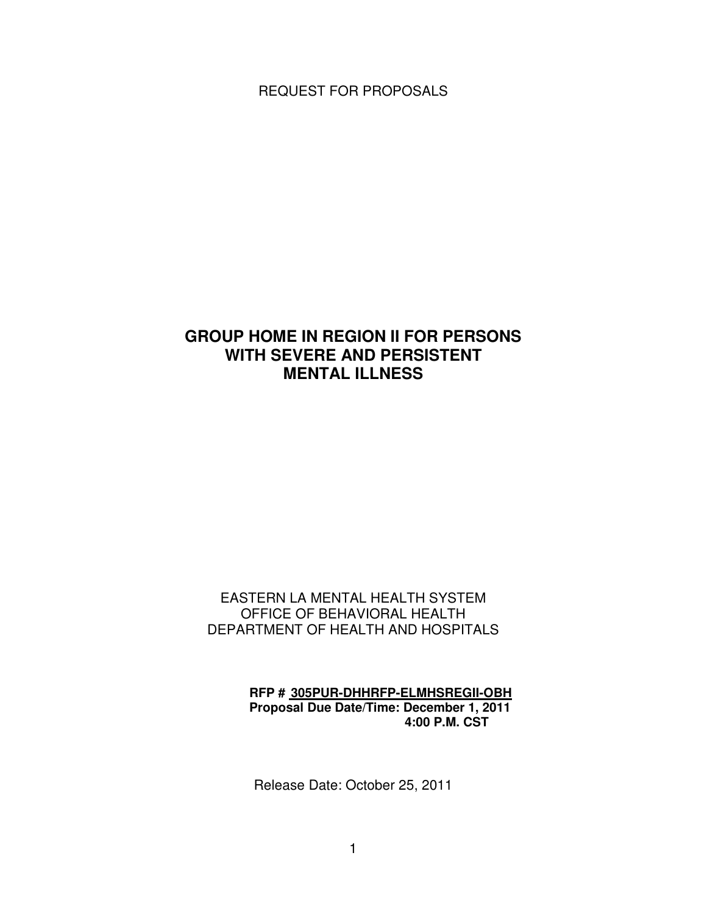REQUEST FOR PROPOSALS

# **GROUP HOME IN REGION II FOR PERSONS WITH SEVERE AND PERSISTENT MENTAL ILLNESS**

# EASTERN LA MENTAL HEALTH SYSTEM OFFICE OF BEHAVIORAL HEALTH DEPARTMENT OF HEALTH AND HOSPITALS

# **RFP # 305PUR-DHHRFP-ELMHSREGII-OBH Proposal Due Date/Time: December 1, 2011 4:00 P.M. CST**

Release Date: October 25, 2011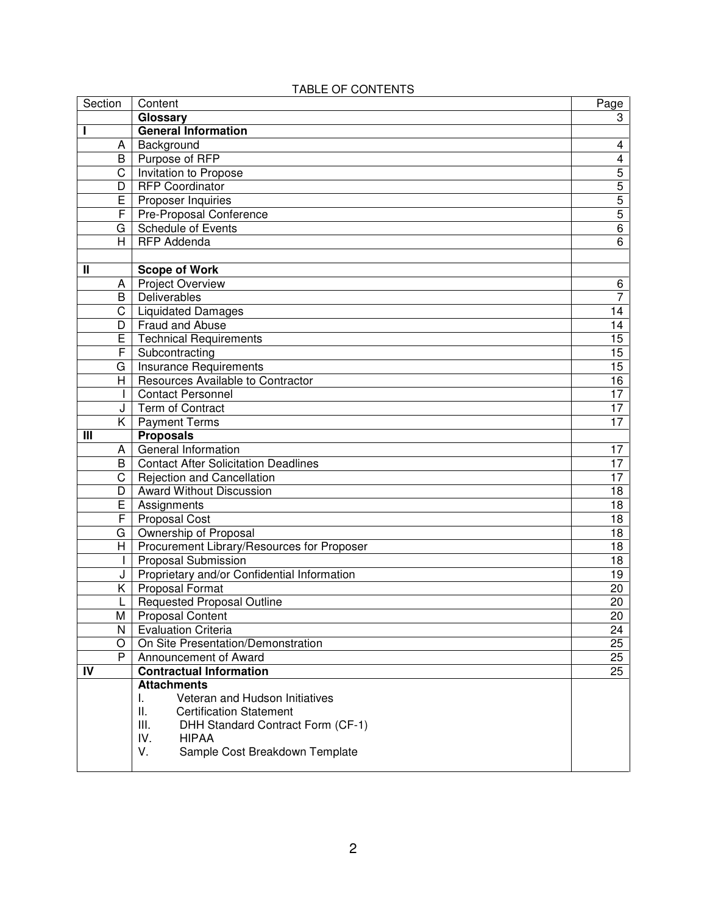| Section                 | Content                                     | Page                    |
|-------------------------|---------------------------------------------|-------------------------|
|                         | Glossary                                    | 3                       |
| I                       | <b>General Information</b>                  |                         |
| A                       | Background                                  | 4                       |
| B                       | Purpose of RFP                              | $\overline{\mathbf{4}}$ |
| C                       | Invitation to Propose                       | $\overline{5}$          |
| D                       | <b>RFP Coordinator</b>                      | $\overline{5}$          |
| E                       | Proposer Inquiries                          | $\overline{5}$          |
| F                       | Pre-Proposal Conference                     | $\overline{5}$          |
| G                       | Schedule of Events                          | $\overline{6}$          |
| H                       | <b>RFP Addenda</b>                          | 6                       |
|                         |                                             |                         |
| Ш                       | <b>Scope of Work</b>                        |                         |
| A                       | Project Overview                            | 6                       |
| B                       | Deliverables                                | $\overline{7}$          |
| C                       | <b>Liquidated Damages</b>                   | 14                      |
| D                       | Fraud and Abuse                             | 14                      |
| E                       | <b>Technical Requirements</b>               | 15                      |
| F                       | Subcontracting                              | 15                      |
| G                       | Insurance Requirements                      | 15                      |
| H                       | Resources Available to Contractor           | 16                      |
| $\mathbf{I}$            | <b>Contact Personnel</b>                    | $\overline{17}$         |
| J                       | Term of Contract                            | 17                      |
| K.                      | <b>Payment Terms</b>                        | 17                      |
| Ш                       | <b>Proposals</b>                            |                         |
| Α                       | General Information                         | 17                      |
| B                       | <b>Contact After Solicitation Deadlines</b> | 17                      |
| C                       | Rejection and Cancellation                  | 17                      |
| D                       | Award Without Discussion                    | 18                      |
| E                       | Assignments                                 | 18                      |
| F                       | <b>Proposal Cost</b>                        | 18                      |
| G                       | Ownership of Proposal                       | 18                      |
| H                       | Procurement Library/Resources for Proposer  | 18                      |
| $\mathbf{I}$            | <b>Proposal Submission</b>                  | 18                      |
| J                       | Proprietary and/or Confidential Information | 19                      |
| Κ                       | Proposal Format                             | 20                      |
|                         | <b>Requested Proposal Outline</b>           | 20                      |
| $\overline{\mathsf{M}}$ | <b>Proposal Content</b>                     | 20                      |
| N                       | <b>Evaluation Criteria</b>                  | 24                      |
| O                       | On Site Presentation/Demonstration          | 25                      |
| P                       | Announcement of Award                       | 25                      |
| IV                      | <b>Contractual Information</b>              | 25                      |
|                         | <b>Attachments</b>                          |                         |
|                         | Veteran and Hudson Initiatives<br>ı.        |                         |
|                         | Ш.<br><b>Certification Statement</b>        |                         |
|                         | III.<br>DHH Standard Contract Form (CF-1)   |                         |
|                         | IV.<br><b>HIPAA</b>                         |                         |
|                         | V.<br>Sample Cost Breakdown Template        |                         |
|                         |                                             |                         |

# TABLE OF CONTENTS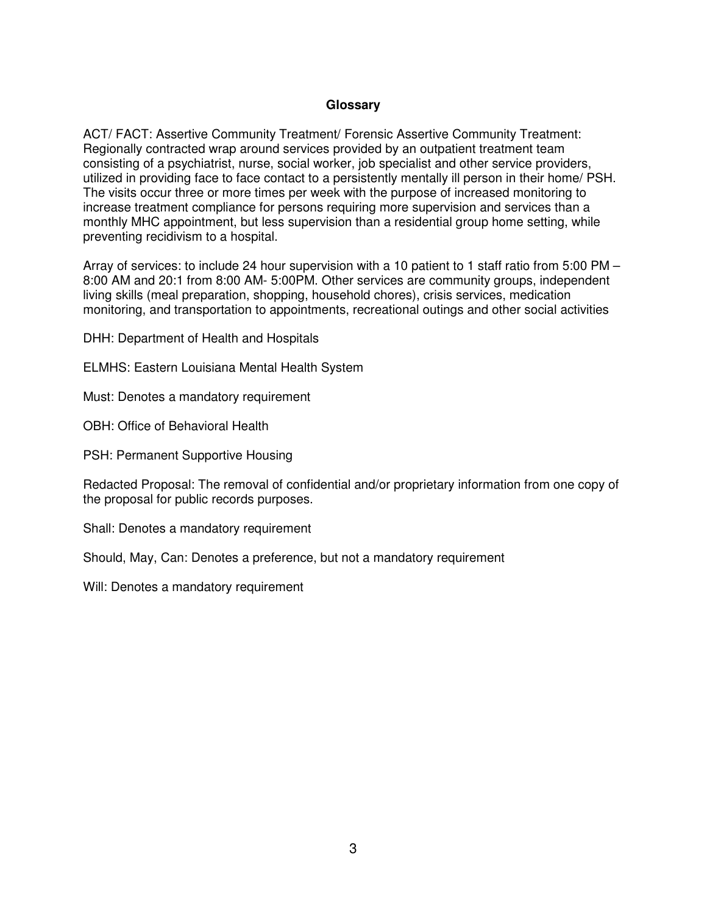#### **Glossary**

ACT/ FACT: Assertive Community Treatment/ Forensic Assertive Community Treatment: Regionally contracted wrap around services provided by an outpatient treatment team consisting of a psychiatrist, nurse, social worker, job specialist and other service providers, utilized in providing face to face contact to a persistently mentally ill person in their home/ PSH. The visits occur three or more times per week with the purpose of increased monitoring to increase treatment compliance for persons requiring more supervision and services than a monthly MHC appointment, but less supervision than a residential group home setting, while preventing recidivism to a hospital.

Array of services: to include 24 hour supervision with a 10 patient to 1 staff ratio from 5:00 PM – 8:00 AM and 20:1 from 8:00 AM- 5:00PM. Other services are community groups, independent living skills (meal preparation, shopping, household chores), crisis services, medication monitoring, and transportation to appointments, recreational outings and other social activities

DHH: Department of Health and Hospitals

ELMHS: Eastern Louisiana Mental Health System

Must: Denotes a mandatory requirement

OBH: Office of Behavioral Health

PSH: Permanent Supportive Housing

Redacted Proposal: The removal of confidential and/or proprietary information from one copy of the proposal for public records purposes.

Shall: Denotes a mandatory requirement

Should, May, Can: Denotes a preference, but not a mandatory requirement

Will: Denotes a mandatory requirement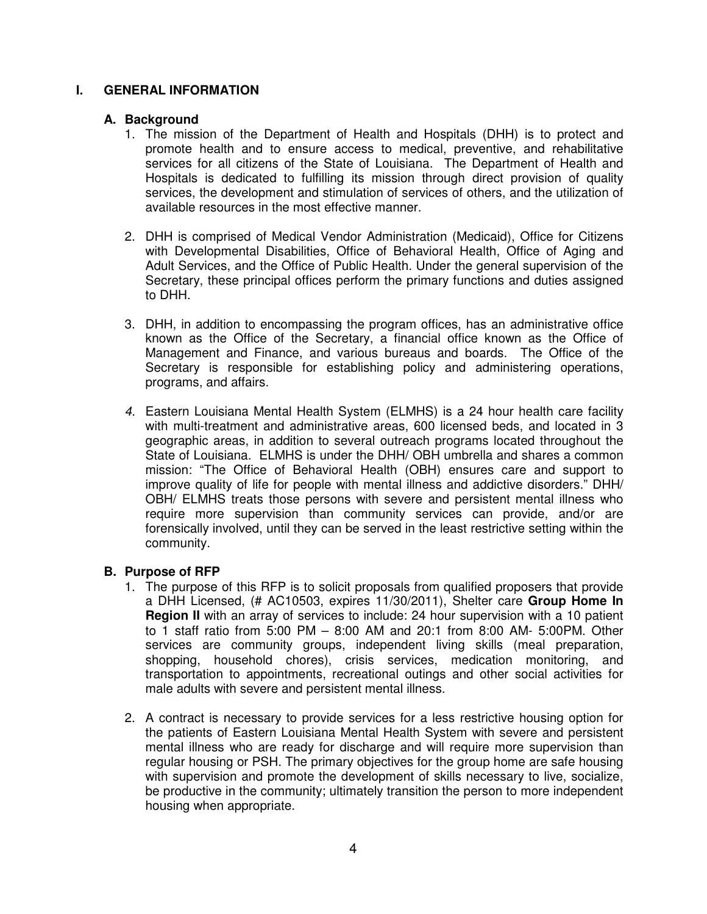### **I. GENERAL INFORMATION**

#### **A. Background**

- 1. The mission of the Department of Health and Hospitals (DHH) is to protect and promote health and to ensure access to medical, preventive, and rehabilitative services for all citizens of the State of Louisiana. The Department of Health and Hospitals is dedicated to fulfilling its mission through direct provision of quality services, the development and stimulation of services of others, and the utilization of available resources in the most effective manner.
- 2. DHH is comprised of Medical Vendor Administration (Medicaid), Office for Citizens with Developmental Disabilities, Office of Behavioral Health, Office of Aging and Adult Services, and the Office of Public Health. Under the general supervision of the Secretary, these principal offices perform the primary functions and duties assigned to DHH.
- 3. DHH, in addition to encompassing the program offices, has an administrative office known as the Office of the Secretary, a financial office known as the Office of Management and Finance, and various bureaus and boards. The Office of the Secretary is responsible for establishing policy and administering operations, programs, and affairs.
- 4. Eastern Louisiana Mental Health System (ELMHS) is a 24 hour health care facility with multi-treatment and administrative areas, 600 licensed beds, and located in 3 geographic areas, in addition to several outreach programs located throughout the State of Louisiana. ELMHS is under the DHH/ OBH umbrella and shares a common mission: "The Office of Behavioral Health (OBH) ensures care and support to improve quality of life for people with mental illness and addictive disorders." DHH/ OBH/ ELMHS treats those persons with severe and persistent mental illness who require more supervision than community services can provide, and/or are forensically involved, until they can be served in the least restrictive setting within the community.

### **B. Purpose of RFP**

- 1. The purpose of this RFP is to solicit proposals from qualified proposers that provide a DHH Licensed, (# AC10503, expires 11/30/2011), Shelter care **Group Home In Region II** with an array of services to include: 24 hour supervision with a 10 patient to 1 staff ratio from 5:00 PM – 8:00 AM and 20:1 from 8:00 AM- 5:00PM. Other services are community groups, independent living skills (meal preparation, shopping, household chores), crisis services, medication monitoring, and transportation to appointments, recreational outings and other social activities for male adults with severe and persistent mental illness.
- 2. A contract is necessary to provide services for a less restrictive housing option for the patients of Eastern Louisiana Mental Health System with severe and persistent mental illness who are ready for discharge and will require more supervision than regular housing or PSH. The primary objectives for the group home are safe housing with supervision and promote the development of skills necessary to live, socialize, be productive in the community; ultimately transition the person to more independent housing when appropriate.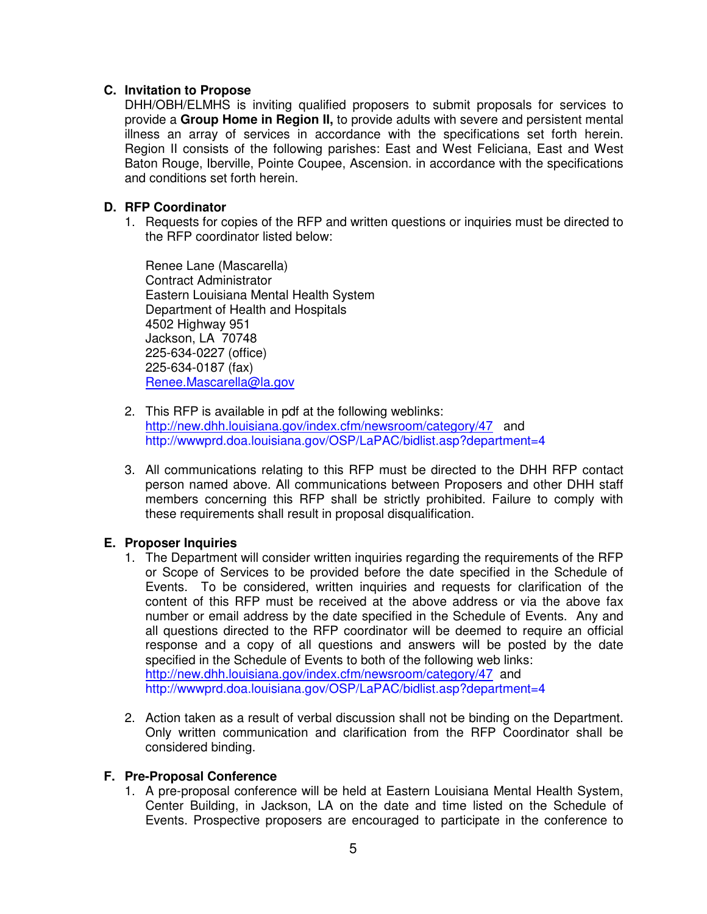# **C. Invitation to Propose**

DHH/OBH/ELMHS is inviting qualified proposers to submit proposals for services to provide a **Group Home in Region II,** to provide adults with severe and persistent mental illness an array of services in accordance with the specifications set forth herein. Region II consists of the following parishes: East and West Feliciana, East and West Baton Rouge, Iberville, Pointe Coupee, Ascension. in accordance with the specifications and conditions set forth herein.

# **D. RFP Coordinator**

1. Requests for copies of the RFP and written questions or inquiries must be directed to the RFP coordinator listed below:

Renee Lane (Mascarella) Contract Administrator Eastern Louisiana Mental Health System Department of Health and Hospitals 4502 Highway 951 Jackson, LA 70748 225-634-0227 (office) 225-634-0187 (fax) Renee.Mascarella@la.gov

- 2. This RFP is available in pdf at the following weblinks: http://new.dhh.louisiana.gov/index.cfm/newsroom/category/47 and http://wwwprd.doa.louisiana.gov/OSP/LaPAC/bidlist.asp?department=4
- 3. All communications relating to this RFP must be directed to the DHH RFP contact person named above. All communications between Proposers and other DHH staff members concerning this RFP shall be strictly prohibited. Failure to comply with these requirements shall result in proposal disqualification.

### **E. Proposer Inquiries**

- 1. The Department will consider written inquiries regarding the requirements of the RFP or Scope of Services to be provided before the date specified in the Schedule of Events. To be considered, written inquiries and requests for clarification of the content of this RFP must be received at the above address or via the above fax number or email address by the date specified in the Schedule of Events. Any and all questions directed to the RFP coordinator will be deemed to require an official response and a copy of all questions and answers will be posted by the date specified in the Schedule of Events to both of the following web links: http://new.dhh.louisiana.gov/index.cfm/newsroom/category/47 and http://wwwprd.doa.louisiana.gov/OSP/LaPAC/bidlist.asp?department=4
- 2. Action taken as a result of verbal discussion shall not be binding on the Department. Only written communication and clarification from the RFP Coordinator shall be considered binding.

### **F. Pre-Proposal Conference**

1. A pre-proposal conference will be held at Eastern Louisiana Mental Health System, Center Building, in Jackson, LA on the date and time listed on the Schedule of Events. Prospective proposers are encouraged to participate in the conference to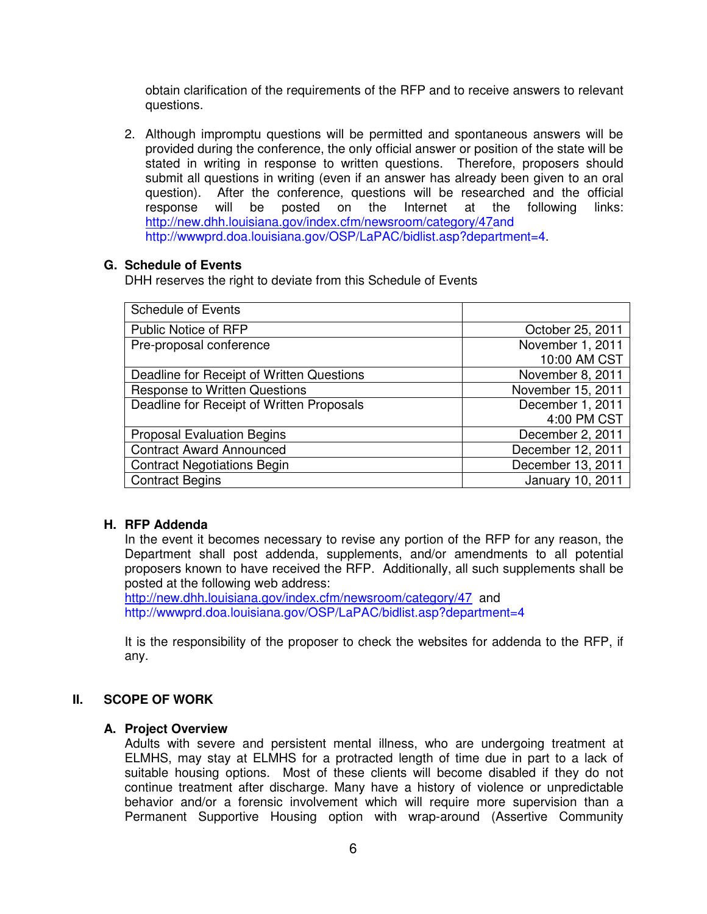obtain clarification of the requirements of the RFP and to receive answers to relevant questions.

2. Although impromptu questions will be permitted and spontaneous answers will be provided during the conference, the only official answer or position of the state will be stated in writing in response to written questions. Therefore, proposers should submit all questions in writing (even if an answer has already been given to an oral question). After the conference, questions will be researched and the official response will be posted on the Internet at the following links: http://new.dhh.louisiana.gov/index.cfm/newsroom/category/47and http://wwwprd.doa.louisiana.gov/OSP/LaPAC/bidlist.asp?department=4.

#### **G. Schedule of Events**

DHH reserves the right to deviate from this Schedule of Events

| <b>Schedule of Events</b>                 |                   |
|-------------------------------------------|-------------------|
| Public Notice of RFP                      | October 25, 2011  |
| Pre-proposal conference                   | November 1, 2011  |
|                                           | 10:00 AM CST      |
| Deadline for Receipt of Written Questions | November 8, 2011  |
| <b>Response to Written Questions</b>      | November 15, 2011 |
| Deadline for Receipt of Written Proposals | December 1, 2011  |
|                                           | 4:00 PM CST       |
| <b>Proposal Evaluation Begins</b>         | December 2, 2011  |
| <b>Contract Award Announced</b>           | December 12, 2011 |
| <b>Contract Negotiations Begin</b>        | December 13, 2011 |
| <b>Contract Begins</b>                    | January 10, 2011  |

### **H. RFP Addenda**

In the event it becomes necessary to revise any portion of the RFP for any reason, the Department shall post addenda, supplements, and/or amendments to all potential proposers known to have received the RFP. Additionally, all such supplements shall be posted at the following web address:

http://new.dhh.louisiana.gov/index.cfm/newsroom/category/47 and http://wwwprd.doa.louisiana.gov/OSP/LaPAC/bidlist.asp?department=4

It is the responsibility of the proposer to check the websites for addenda to the RFP, if any.

### **II. SCOPE OF WORK**

#### **A. Project Overview**

Adults with severe and persistent mental illness, who are undergoing treatment at ELMHS, may stay at ELMHS for a protracted length of time due in part to a lack of suitable housing options. Most of these clients will become disabled if they do not continue treatment after discharge. Many have a history of violence or unpredictable behavior and/or a forensic involvement which will require more supervision than a Permanent Supportive Housing option with wrap-around (Assertive Community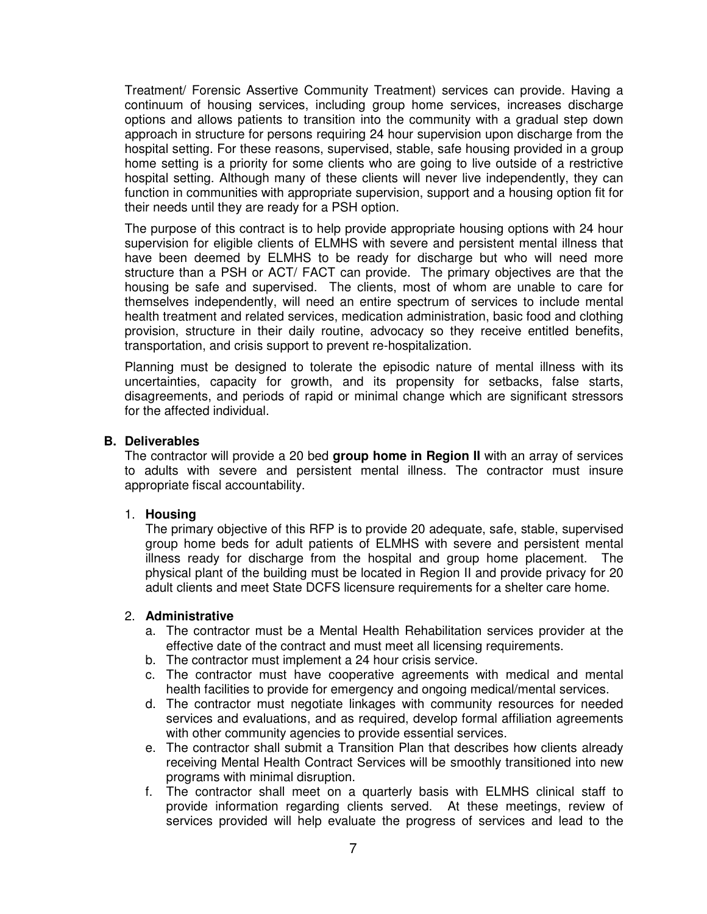Treatment/ Forensic Assertive Community Treatment) services can provide. Having a continuum of housing services, including group home services, increases discharge options and allows patients to transition into the community with a gradual step down approach in structure for persons requiring 24 hour supervision upon discharge from the hospital setting. For these reasons, supervised, stable, safe housing provided in a group home setting is a priority for some clients who are going to live outside of a restrictive hospital setting. Although many of these clients will never live independently, they can function in communities with appropriate supervision, support and a housing option fit for their needs until they are ready for a PSH option.

The purpose of this contract is to help provide appropriate housing options with 24 hour supervision for eligible clients of ELMHS with severe and persistent mental illness that have been deemed by ELMHS to be ready for discharge but who will need more structure than a PSH or ACT/ FACT can provide. The primary objectives are that the housing be safe and supervised. The clients, most of whom are unable to care for themselves independently, will need an entire spectrum of services to include mental health treatment and related services, medication administration, basic food and clothing provision, structure in their daily routine, advocacy so they receive entitled benefits, transportation, and crisis support to prevent re-hospitalization.

Planning must be designed to tolerate the episodic nature of mental illness with its uncertainties, capacity for growth, and its propensity for setbacks, false starts, disagreements, and periods of rapid or minimal change which are significant stressors for the affected individual.

#### **B. Deliverables**

The contractor will provide a 20 bed **group home in Region II** with an array of services to adults with severe and persistent mental illness. The contractor must insure appropriate fiscal accountability.

### 1. **Housing**

The primary objective of this RFP is to provide 20 adequate, safe, stable, supervised group home beds for adult patients of ELMHS with severe and persistent mental illness ready for discharge from the hospital and group home placement. The physical plant of the building must be located in Region II and provide privacy for 20 adult clients and meet State DCFS licensure requirements for a shelter care home.

#### 2. **Administrative**

- a. The contractor must be a Mental Health Rehabilitation services provider at the effective date of the contract and must meet all licensing requirements.
- b. The contractor must implement a 24 hour crisis service.
- c. The contractor must have cooperative agreements with medical and mental health facilities to provide for emergency and ongoing medical/mental services.
- d. The contractor must negotiate linkages with community resources for needed services and evaluations, and as required, develop formal affiliation agreements with other community agencies to provide essential services.
- e. The contractor shall submit a Transition Plan that describes how clients already receiving Mental Health Contract Services will be smoothly transitioned into new programs with minimal disruption.
- f. The contractor shall meet on a quarterly basis with ELMHS clinical staff to provide information regarding clients served. At these meetings, review of services provided will help evaluate the progress of services and lead to the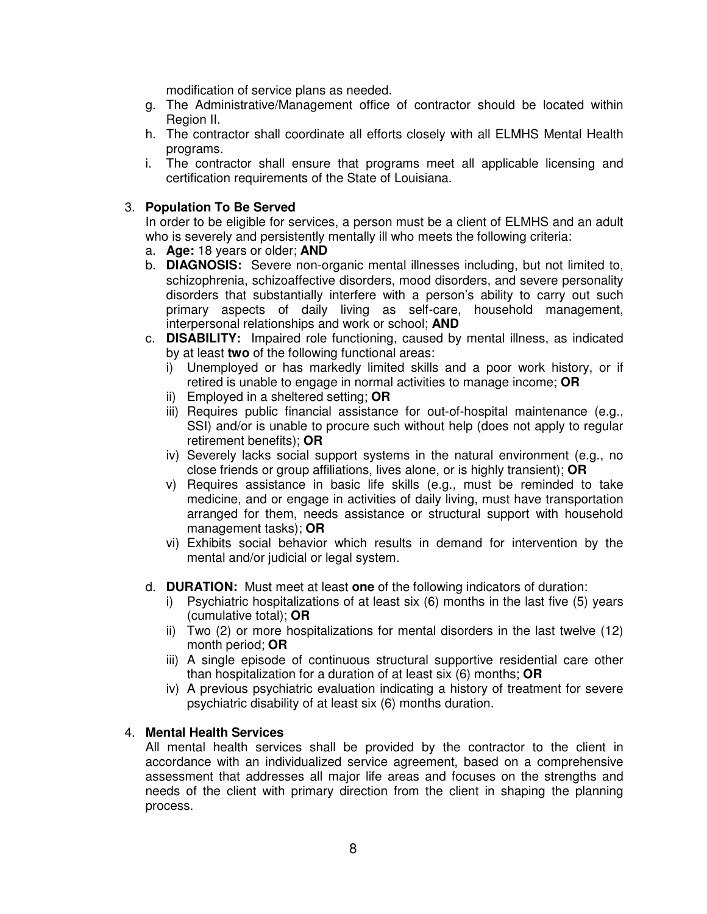modification of service plans as needed.

- g. The Administrative/Management office of contractor should be located within Region II.
- h. The contractor shall coordinate all efforts closely with all ELMHS Mental Health programs.
- i. The contractor shall ensure that programs meet all applicable licensing and certification requirements of the State of Louisiana.

#### 3. **Population To Be Served**

In order to be eligible for services, a person must be a client of ELMHS and an adult who is severely and persistently mentally ill who meets the following criteria:

- a. **Age:** 18 years or older; **AND**
- b. **DIAGNOSIS:** Severe non-organic mental illnesses including, but not limited to, schizophrenia, schizoaffective disorders, mood disorders, and severe personality disorders that substantially interfere with a person's ability to carry out such primary aspects of daily living as self-care, household management, interpersonal relationships and work or school; **AND**
- c. **DISABILITY:** Impaired role functioning, caused by mental illness, as indicated by at least **two** of the following functional areas:
	- i) Unemployed or has markedly limited skills and a poor work history, or if retired is unable to engage in normal activities to manage income; **OR**
	- ii) Employed in a sheltered setting; **OR**
	- iii) Requires public financial assistance for out-of-hospital maintenance (e.g., SSI) and/or is unable to procure such without help (does not apply to regular retirement benefits); **OR**
	- iv) Severely lacks social support systems in the natural environment (e.g., no close friends or group affiliations, lives alone, or is highly transient); **OR**
	- v) Requires assistance in basic life skills (e.g., must be reminded to take medicine, and or engage in activities of daily living, must have transportation arranged for them, needs assistance or structural support with household management tasks); **OR**
	- vi) Exhibits social behavior which results in demand for intervention by the mental and/or judicial or legal system.
- d. **DURATION:** Must meet at least **one** of the following indicators of duration:
	- i) Psychiatric hospitalizations of at least six (6) months in the last five (5) years (cumulative total); **OR**
	- ii) Two (2) or more hospitalizations for mental disorders in the last twelve (12) month period; **OR**
	- iii) A single episode of continuous structural supportive residential care other than hospitalization for a duration of at least six (6) months; **OR**
	- iv) A previous psychiatric evaluation indicating a history of treatment for severe psychiatric disability of at least six (6) months duration.

#### 4. **Mental Health Services**

All mental health services shall be provided by the contractor to the client in accordance with an individualized service agreement, based on a comprehensive assessment that addresses all major life areas and focuses on the strengths and needs of the client with primary direction from the client in shaping the planning process.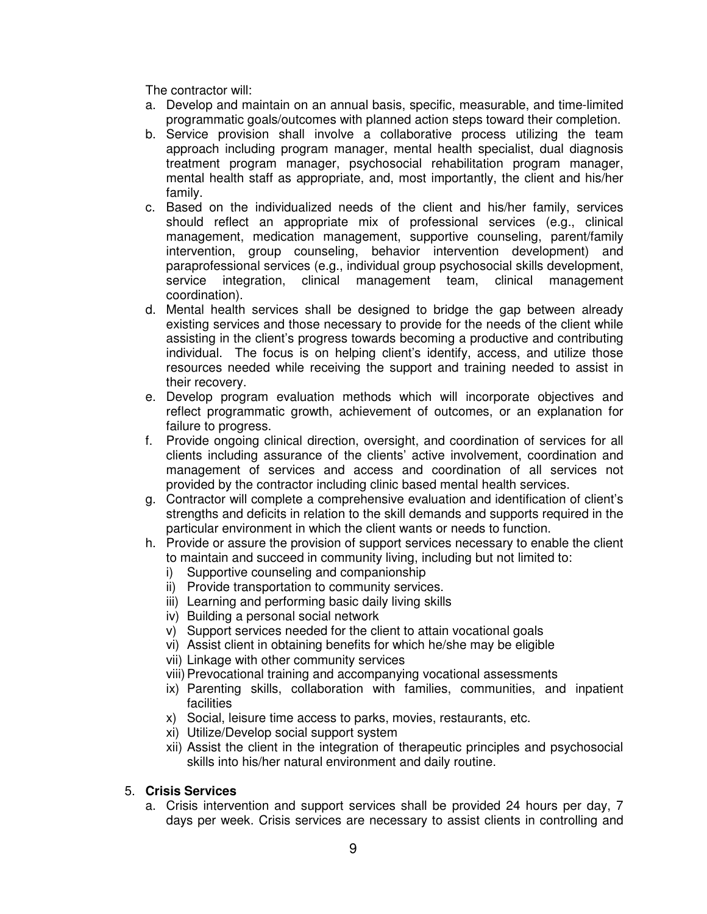The contractor will:

- a. Develop and maintain on an annual basis, specific, measurable, and time-limited programmatic goals/outcomes with planned action steps toward their completion.
- b. Service provision shall involve a collaborative process utilizing the team approach including program manager, mental health specialist, dual diagnosis treatment program manager, psychosocial rehabilitation program manager, mental health staff as appropriate, and, most importantly, the client and his/her family.
- c. Based on the individualized needs of the client and his/her family, services should reflect an appropriate mix of professional services (e.g., clinical management, medication management, supportive counseling, parent/family intervention, group counseling, behavior intervention development) and paraprofessional services (e.g., individual group psychosocial skills development, service integration, clinical management team, clinical management coordination).
- d. Mental health services shall be designed to bridge the gap between already existing services and those necessary to provide for the needs of the client while assisting in the client's progress towards becoming a productive and contributing individual. The focus is on helping client's identify, access, and utilize those resources needed while receiving the support and training needed to assist in their recovery.
- e. Develop program evaluation methods which will incorporate objectives and reflect programmatic growth, achievement of outcomes, or an explanation for failure to progress.
- f. Provide ongoing clinical direction, oversight, and coordination of services for all clients including assurance of the clients' active involvement, coordination and management of services and access and coordination of all services not provided by the contractor including clinic based mental health services.
- g. Contractor will complete a comprehensive evaluation and identification of client's strengths and deficits in relation to the skill demands and supports required in the particular environment in which the client wants or needs to function.
- h. Provide or assure the provision of support services necessary to enable the client to maintain and succeed in community living, including but not limited to:
	- i) Supportive counseling and companionship
	- ii) Provide transportation to community services.
	- iii) Learning and performing basic daily living skills
	- iv) Building a personal social network
	- v) Support services needed for the client to attain vocational goals
	- vi) Assist client in obtaining benefits for which he/she may be eligible
	- vii) Linkage with other community services
	- viii) Prevocational training and accompanying vocational assessments
	- ix) Parenting skills, collaboration with families, communities, and inpatient facilities
	- x) Social, leisure time access to parks, movies, restaurants, etc.
	- xi) Utilize/Develop social support system
	- xii) Assist the client in the integration of therapeutic principles and psychosocial skills into his/her natural environment and daily routine.

# 5. **Crisis Services**

a. Crisis intervention and support services shall be provided 24 hours per day, 7 days per week. Crisis services are necessary to assist clients in controlling and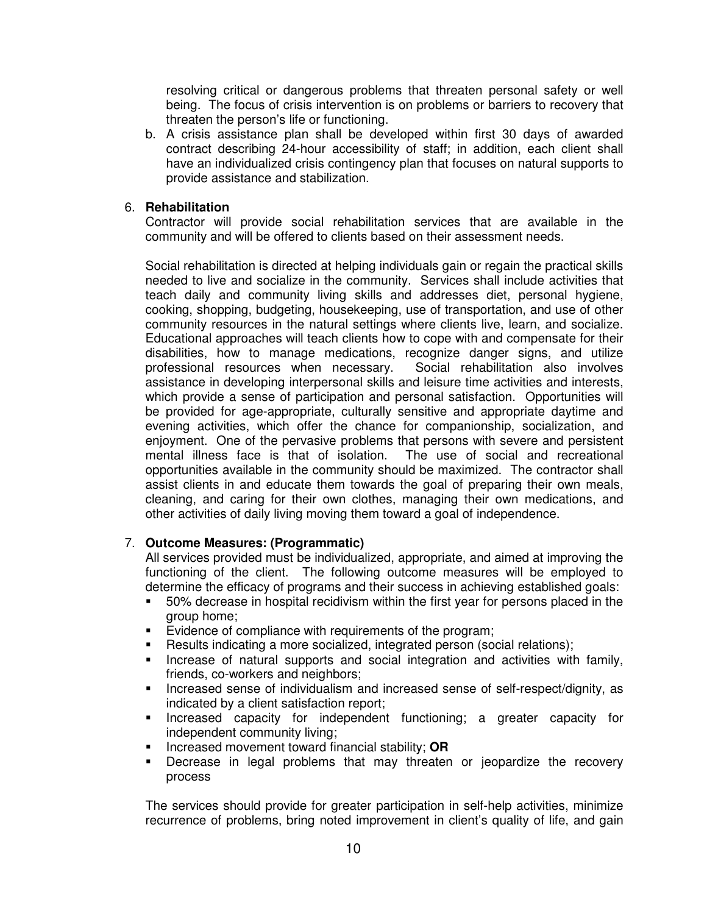resolving critical or dangerous problems that threaten personal safety or well being. The focus of crisis intervention is on problems or barriers to recovery that threaten the person's life or functioning.

b. A crisis assistance plan shall be developed within first 30 days of awarded contract describing 24-hour accessibility of staff; in addition, each client shall have an individualized crisis contingency plan that focuses on natural supports to provide assistance and stabilization.

### 6. **Rehabilitation**

Contractor will provide social rehabilitation services that are available in the community and will be offered to clients based on their assessment needs.

Social rehabilitation is directed at helping individuals gain or regain the practical skills needed to live and socialize in the community. Services shall include activities that teach daily and community living skills and addresses diet, personal hygiene, cooking, shopping, budgeting, housekeeping, use of transportation, and use of other community resources in the natural settings where clients live, learn, and socialize. Educational approaches will teach clients how to cope with and compensate for their disabilities, how to manage medications, recognize danger signs, and utilize professional resources when necessary. Social rehabilitation also involves assistance in developing interpersonal skills and leisure time activities and interests, which provide a sense of participation and personal satisfaction. Opportunities will be provided for age-appropriate, culturally sensitive and appropriate daytime and evening activities, which offer the chance for companionship, socialization, and enjoyment. One of the pervasive problems that persons with severe and persistent mental illness face is that of isolation. The use of social and recreational opportunities available in the community should be maximized. The contractor shall assist clients in and educate them towards the goal of preparing their own meals, cleaning, and caring for their own clothes, managing their own medications, and other activities of daily living moving them toward a goal of independence.

### 7. **Outcome Measures: (Programmatic)**

All services provided must be individualized, appropriate, and aimed at improving the functioning of the client. The following outcome measures will be employed to determine the efficacy of programs and their success in achieving established goals:

- 50% decrease in hospital recidivism within the first year for persons placed in the group home;
- **E** Evidence of compliance with requirements of the program;
- Results indicating a more socialized, integrated person (social relations);
- **Increase of natural supports and social integration and activities with family,** friends, co-workers and neighbors;
- **Increased sense of individualism and increased sense of self-respect/dignity, as** indicated by a client satisfaction report;
- **Increased capacity for independent functioning; a greater capacity for** independent community living;
- Increased movement toward financial stability; **OR**
- Decrease in legal problems that may threaten or jeopardize the recovery process

The services should provide for greater participation in self-help activities, minimize recurrence of problems, bring noted improvement in client's quality of life, and gain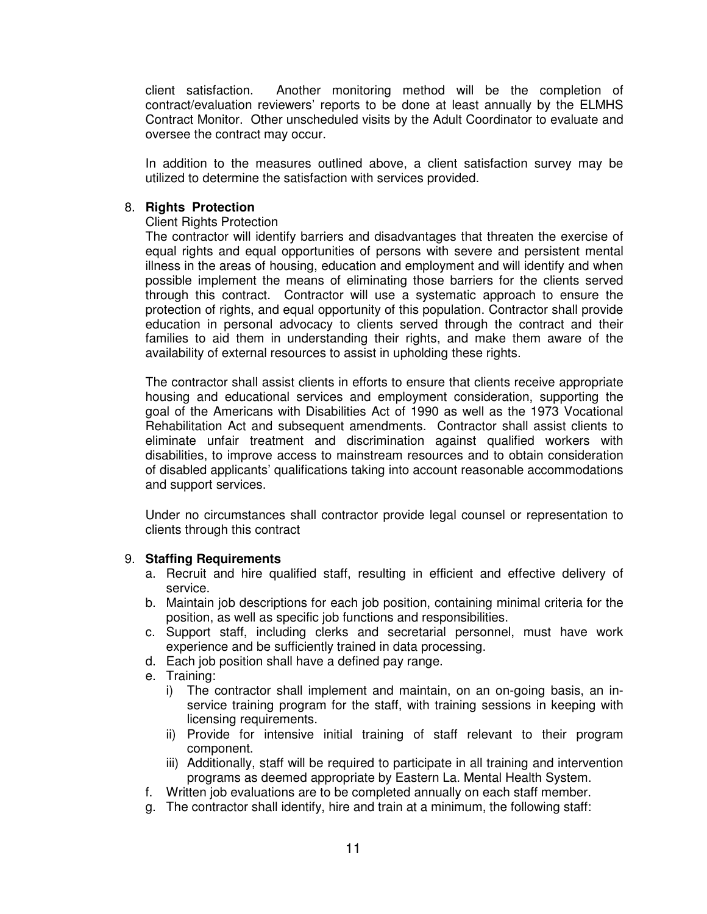client satisfaction. Another monitoring method will be the completion of contract/evaluation reviewers' reports to be done at least annually by the ELMHS Contract Monitor. Other unscheduled visits by the Adult Coordinator to evaluate and oversee the contract may occur.

In addition to the measures outlined above, a client satisfaction survey may be utilized to determine the satisfaction with services provided.

#### 8. **Rights Protection**

#### Client Rights Protection

The contractor will identify barriers and disadvantages that threaten the exercise of equal rights and equal opportunities of persons with severe and persistent mental illness in the areas of housing, education and employment and will identify and when possible implement the means of eliminating those barriers for the clients served through this contract. Contractor will use a systematic approach to ensure the protection of rights, and equal opportunity of this population. Contractor shall provide education in personal advocacy to clients served through the contract and their families to aid them in understanding their rights, and make them aware of the availability of external resources to assist in upholding these rights.

The contractor shall assist clients in efforts to ensure that clients receive appropriate housing and educational services and employment consideration, supporting the goal of the Americans with Disabilities Act of 1990 as well as the 1973 Vocational Rehabilitation Act and subsequent amendments. Contractor shall assist clients to eliminate unfair treatment and discrimination against qualified workers with disabilities, to improve access to mainstream resources and to obtain consideration of disabled applicants' qualifications taking into account reasonable accommodations and support services.

Under no circumstances shall contractor provide legal counsel or representation to clients through this contract

#### 9. **Staffing Requirements**

- a. Recruit and hire qualified staff, resulting in efficient and effective delivery of service.
- b. Maintain job descriptions for each job position, containing minimal criteria for the position, as well as specific job functions and responsibilities.
- c. Support staff, including clerks and secretarial personnel, must have work experience and be sufficiently trained in data processing.
- d. Each job position shall have a defined pay range.
- e. Training:
	- i) The contractor shall implement and maintain, on an on-going basis, an inservice training program for the staff, with training sessions in keeping with licensing requirements.
	- ii) Provide for intensive initial training of staff relevant to their program component.
	- iii) Additionally, staff will be required to participate in all training and intervention programs as deemed appropriate by Eastern La. Mental Health System.
- f. Written job evaluations are to be completed annually on each staff member.
- g. The contractor shall identify, hire and train at a minimum, the following staff: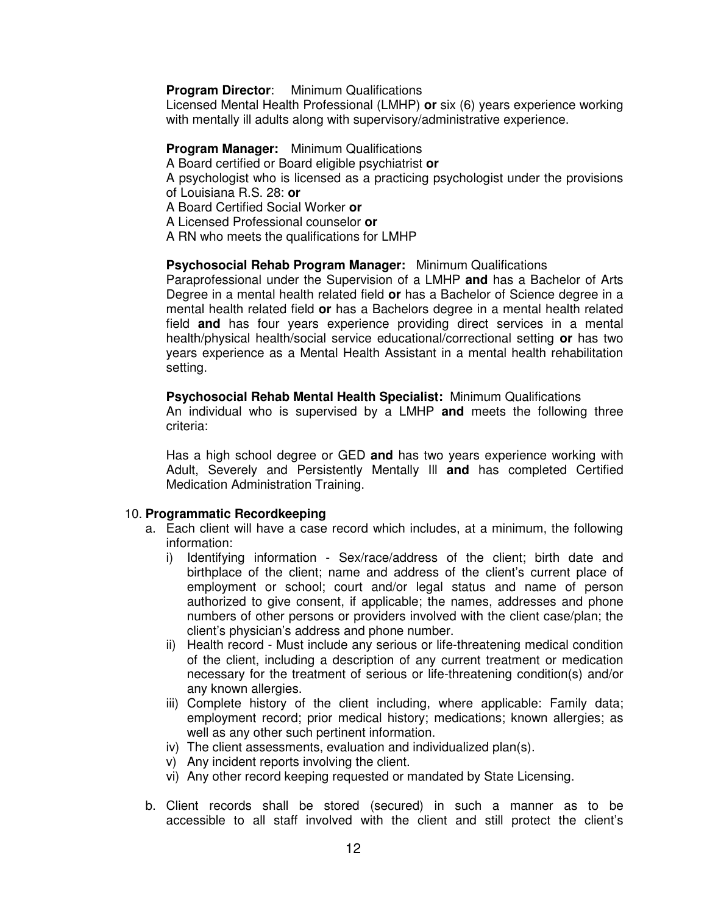#### **Program Director:** Minimum Qualifications

Licensed Mental Health Professional (LMHP) **or** six (6) years experience working with mentally ill adults along with supervisory/administrative experience.

#### **Program Manager:** Minimum Qualifications

A Board certified or Board eligible psychiatrist **or**

A psychologist who is licensed as a practicing psychologist under the provisions of Louisiana R.S. 28: **or**

A Board Certified Social Worker **or**

A Licensed Professional counselor **or**

A RN who meets the qualifications for LMHP

#### **Psychosocial Rehab Program Manager:** Minimum Qualifications

Paraprofessional under the Supervision of a LMHP **and** has a Bachelor of Arts Degree in a mental health related field **or** has a Bachelor of Science degree in a mental health related field **or** has a Bachelors degree in a mental health related field **and** has four years experience providing direct services in a mental health/physical health/social service educational/correctional setting **or** has two years experience as a Mental Health Assistant in a mental health rehabilitation setting.

#### **Psychosocial Rehab Mental Health Specialist:** Minimum Qualifications

An individual who is supervised by a LMHP **and** meets the following three criteria:

Has a high school degree or GED **and** has two years experience working with Adult, Severely and Persistently Mentally Ill **and** has completed Certified Medication Administration Training.

#### 10. **Programmatic Recordkeeping**

- a. Each client will have a case record which includes, at a minimum, the following information:
	- i) Identifying information Sex/race/address of the client; birth date and birthplace of the client; name and address of the client's current place of employment or school; court and/or legal status and name of person authorized to give consent, if applicable; the names, addresses and phone numbers of other persons or providers involved with the client case/plan; the client's physician's address and phone number.
	- ii) Health record Must include any serious or life-threatening medical condition of the client, including a description of any current treatment or medication necessary for the treatment of serious or life-threatening condition(s) and/or any known allergies.
	- iii) Complete history of the client including, where applicable: Family data; employment record; prior medical history; medications; known allergies; as well as any other such pertinent information.
	- iv) The client assessments, evaluation and individualized plan(s).
	- v) Any incident reports involving the client.
	- vi) Any other record keeping requested or mandated by State Licensing.
- b. Client records shall be stored (secured) in such a manner as to be accessible to all staff involved with the client and still protect the client's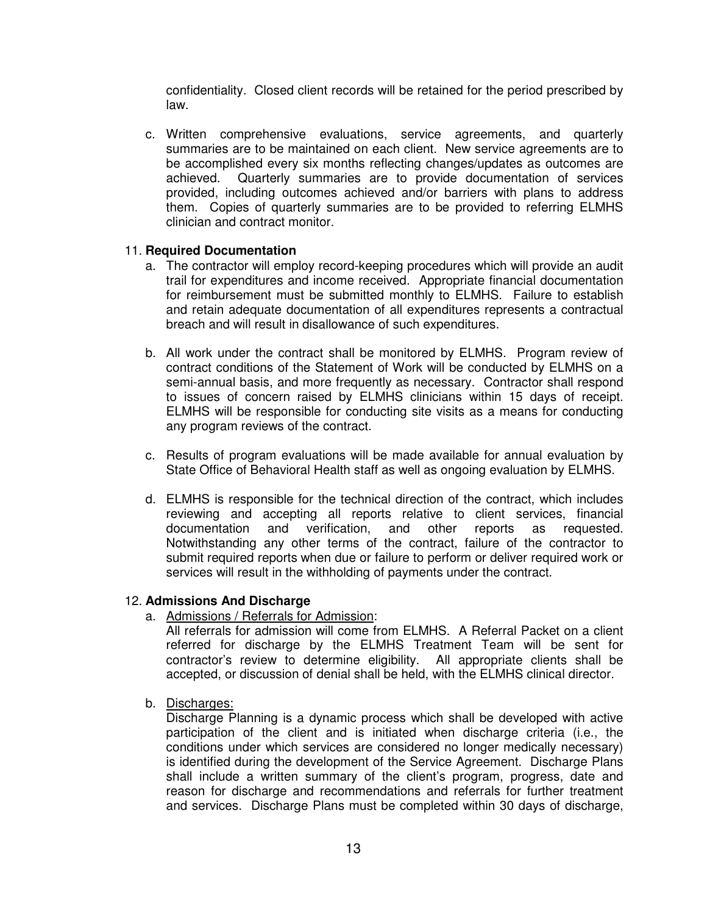confidentiality. Closed client records will be retained for the period prescribed by law.

c. Written comprehensive evaluations, service agreements, and quarterly summaries are to be maintained on each client. New service agreements are to be accomplished every six months reflecting changes/updates as outcomes are achieved. Quarterly summaries are to provide documentation of services provided, including outcomes achieved and/or barriers with plans to address them. Copies of quarterly summaries are to be provided to referring ELMHS clinician and contract monitor.

#### 11. **Required Documentation**

- a. The contractor will employ record-keeping procedures which will provide an audit trail for expenditures and income received. Appropriate financial documentation for reimbursement must be submitted monthly to ELMHS. Failure to establish and retain adequate documentation of all expenditures represents a contractual breach and will result in disallowance of such expenditures.
- b. All work under the contract shall be monitored by ELMHS. Program review of contract conditions of the Statement of Work will be conducted by ELMHS on a semi-annual basis, and more frequently as necessary. Contractor shall respond to issues of concern raised by ELMHS clinicians within 15 days of receipt. ELMHS will be responsible for conducting site visits as a means for conducting any program reviews of the contract.
- c. Results of program evaluations will be made available for annual evaluation by State Office of Behavioral Health staff as well as ongoing evaluation by ELMHS.
- d. ELMHS is responsible for the technical direction of the contract, which includes reviewing and accepting all reports relative to client services, financial documentation and verification, and other reports as requested. Notwithstanding any other terms of the contract, failure of the contractor to submit required reports when due or failure to perform or deliver required work or services will result in the withholding of payments under the contract.

#### 12. **Admissions And Discharge**

a. Admissions / Referrals for Admission:

All referrals for admission will come from ELMHS. A Referral Packet on a client referred for discharge by the ELMHS Treatment Team will be sent for contractor's review to determine eligibility. All appropriate clients shall be accepted, or discussion of denial shall be held, with the ELMHS clinical director.

b. Discharges:

Discharge Planning is a dynamic process which shall be developed with active participation of the client and is initiated when discharge criteria (i.e., the conditions under which services are considered no longer medically necessary) is identified during the development of the Service Agreement. Discharge Plans shall include a written summary of the client's program, progress, date and reason for discharge and recommendations and referrals for further treatment and services. Discharge Plans must be completed within 30 days of discharge,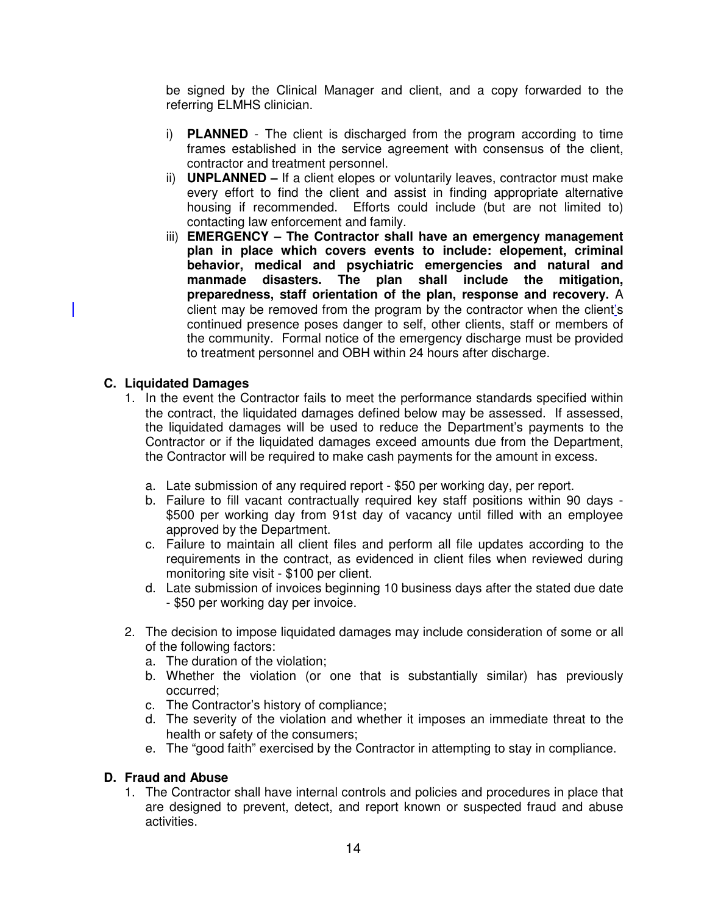be signed by the Clinical Manager and client, and a copy forwarded to the referring ELMHS clinician.

- i) **PLANNED** The client is discharged from the program according to time frames established in the service agreement with consensus of the client, contractor and treatment personnel.
- ii) **UNPLANNED** If a client elopes or voluntarily leaves, contractor must make every effort to find the client and assist in finding appropriate alternative housing if recommended. Efforts could include (but are not limited to) contacting law enforcement and family.
- iii) **EMERGENCY The Contractor shall have an emergency management plan in place which covers events to include: elopement, criminal behavior, medical and psychiatric emergencies and natural and manmade disasters. The plan shall include the mitigation, preparedness, staff orientation of the plan, response and recovery.** A client may be removed from the program by the contractor when the client's continued presence poses danger to self, other clients, staff or members of the community. Formal notice of the emergency discharge must be provided to treatment personnel and OBH within 24 hours after discharge.

### **C. Liquidated Damages**

- 1. In the event the Contractor fails to meet the performance standards specified within the contract, the liquidated damages defined below may be assessed. If assessed, the liquidated damages will be used to reduce the Department's payments to the Contractor or if the liquidated damages exceed amounts due from the Department, the Contractor will be required to make cash payments for the amount in excess.
	- a. Late submission of any required report \$50 per working day, per report.
	- b. Failure to fill vacant contractually required key staff positions within 90 days \$500 per working day from 91st day of vacancy until filled with an employee approved by the Department.
	- c. Failure to maintain all client files and perform all file updates according to the requirements in the contract, as evidenced in client files when reviewed during monitoring site visit - \$100 per client.
	- d. Late submission of invoices beginning 10 business days after the stated due date - \$50 per working day per invoice.
- 2. The decision to impose liquidated damages may include consideration of some or all of the following factors:
	- a. The duration of the violation;
	- b. Whether the violation (or one that is substantially similar) has previously occurred;
	- c. The Contractor's history of compliance;
	- d. The severity of the violation and whether it imposes an immediate threat to the health or safety of the consumers;
	- e. The "good faith" exercised by the Contractor in attempting to stay in compliance.

### **D. Fraud and Abuse**

1. The Contractor shall have internal controls and policies and procedures in place that are designed to prevent, detect, and report known or suspected fraud and abuse activities.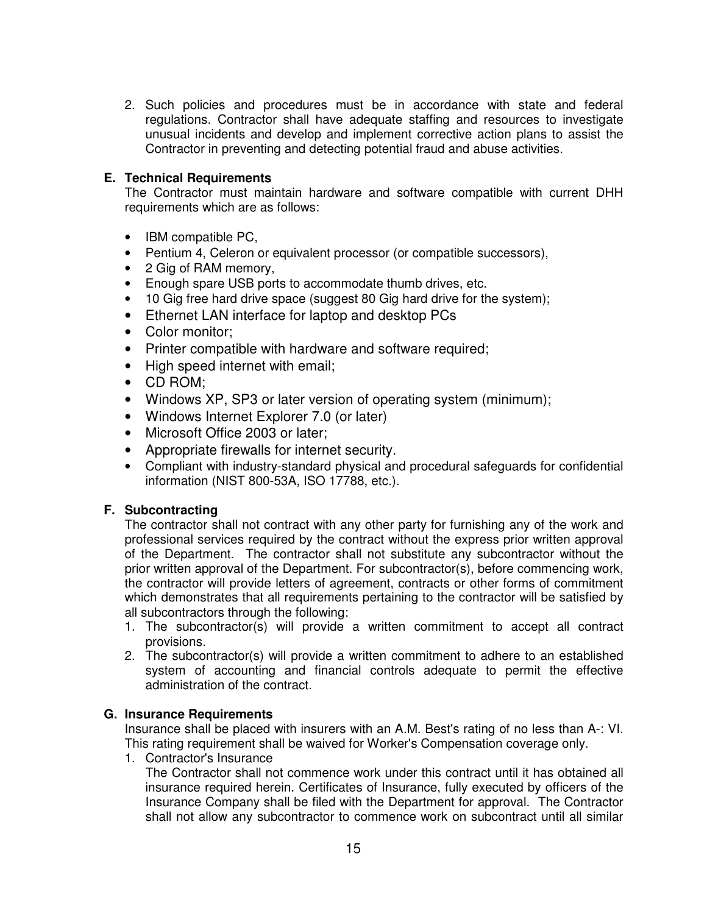2. Such policies and procedures must be in accordance with state and federal regulations. Contractor shall have adequate staffing and resources to investigate unusual incidents and develop and implement corrective action plans to assist the Contractor in preventing and detecting potential fraud and abuse activities.

# **E. Technical Requirements**

The Contractor must maintain hardware and software compatible with current DHH requirements which are as follows:

- IBM compatible PC.
- Pentium 4, Celeron or equivalent processor (or compatible successors),
- 2 Gig of RAM memory,
- Enough spare USB ports to accommodate thumb drives, etc.
- 10 Gig free hard drive space (suggest 80 Gig hard drive for the system);
- Ethernet LAN interface for laptop and desktop PCs
- Color monitor;
- Printer compatible with hardware and software required;
- High speed internet with email;
- CD ROM;
- Windows XP, SP3 or later version of operating system (minimum);
- Windows Internet Explorer 7.0 (or later)
- Microsoft Office 2003 or later;
- Appropriate firewalls for internet security.
- Compliant with industry-standard physical and procedural safeguards for confidential information (NIST 800-53A, ISO 17788, etc.).

### **F. Subcontracting**

The contractor shall not contract with any other party for furnishing any of the work and professional services required by the contract without the express prior written approval of the Department. The contractor shall not substitute any subcontractor without the prior written approval of the Department. For subcontractor(s), before commencing work, the contractor will provide letters of agreement, contracts or other forms of commitment which demonstrates that all requirements pertaining to the contractor will be satisfied by all subcontractors through the following:

- 1. The subcontractor(s) will provide a written commitment to accept all contract provisions.
- 2. The subcontractor(s) will provide a written commitment to adhere to an established system of accounting and financial controls adequate to permit the effective administration of the contract.

### **G. Insurance Requirements**

Insurance shall be placed with insurers with an A.M. Best's rating of no less than A-: VI. This rating requirement shall be waived for Worker's Compensation coverage only.

1. Contractor's Insurance

The Contractor shall not commence work under this contract until it has obtained all insurance required herein. Certificates of Insurance, fully executed by officers of the Insurance Company shall be filed with the Department for approval. The Contractor shall not allow any subcontractor to commence work on subcontract until all similar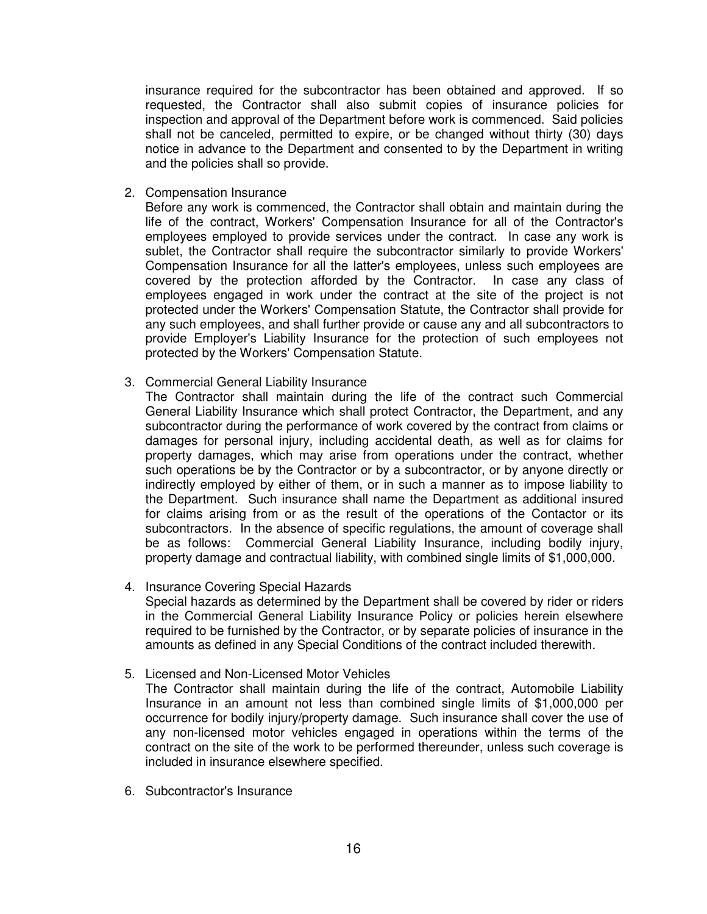insurance required for the subcontractor has been obtained and approved. If so requested, the Contractor shall also submit copies of insurance policies for inspection and approval of the Department before work is commenced. Said policies shall not be canceled, permitted to expire, or be changed without thirty (30) days notice in advance to the Department and consented to by the Department in writing and the policies shall so provide.

2. Compensation Insurance

Before any work is commenced, the Contractor shall obtain and maintain during the life of the contract, Workers' Compensation Insurance for all of the Contractor's employees employed to provide services under the contract. In case any work is sublet, the Contractor shall require the subcontractor similarly to provide Workers' Compensation Insurance for all the latter's employees, unless such employees are covered by the protection afforded by the Contractor. In case any class of employees engaged in work under the contract at the site of the project is not protected under the Workers' Compensation Statute, the Contractor shall provide for any such employees, and shall further provide or cause any and all subcontractors to provide Employer's Liability Insurance for the protection of such employees not protected by the Workers' Compensation Statute.

- 3. Commercial General Liability Insurance
	- The Contractor shall maintain during the life of the contract such Commercial General Liability Insurance which shall protect Contractor, the Department, and any subcontractor during the performance of work covered by the contract from claims or damages for personal injury, including accidental death, as well as for claims for property damages, which may arise from operations under the contract, whether such operations be by the Contractor or by a subcontractor, or by anyone directly or indirectly employed by either of them, or in such a manner as to impose liability to the Department. Such insurance shall name the Department as additional insured for claims arising from or as the result of the operations of the Contactor or its subcontractors. In the absence of specific regulations, the amount of coverage shall be as follows: Commercial General Liability Insurance, including bodily injury, property damage and contractual liability, with combined single limits of \$1,000,000.
- 4. Insurance Covering Special Hazards Special hazards as determined by the Department shall be covered by rider or riders in the Commercial General Liability Insurance Policy or policies herein elsewhere required to be furnished by the Contractor, or by separate policies of insurance in the amounts as defined in any Special Conditions of the contract included therewith.
- 5. Licensed and Non-Licensed Motor Vehicles

The Contractor shall maintain during the life of the contract, Automobile Liability Insurance in an amount not less than combined single limits of \$1,000,000 per occurrence for bodily injury/property damage. Such insurance shall cover the use of any non-licensed motor vehicles engaged in operations within the terms of the contract on the site of the work to be performed thereunder, unless such coverage is included in insurance elsewhere specified.

6. Subcontractor's Insurance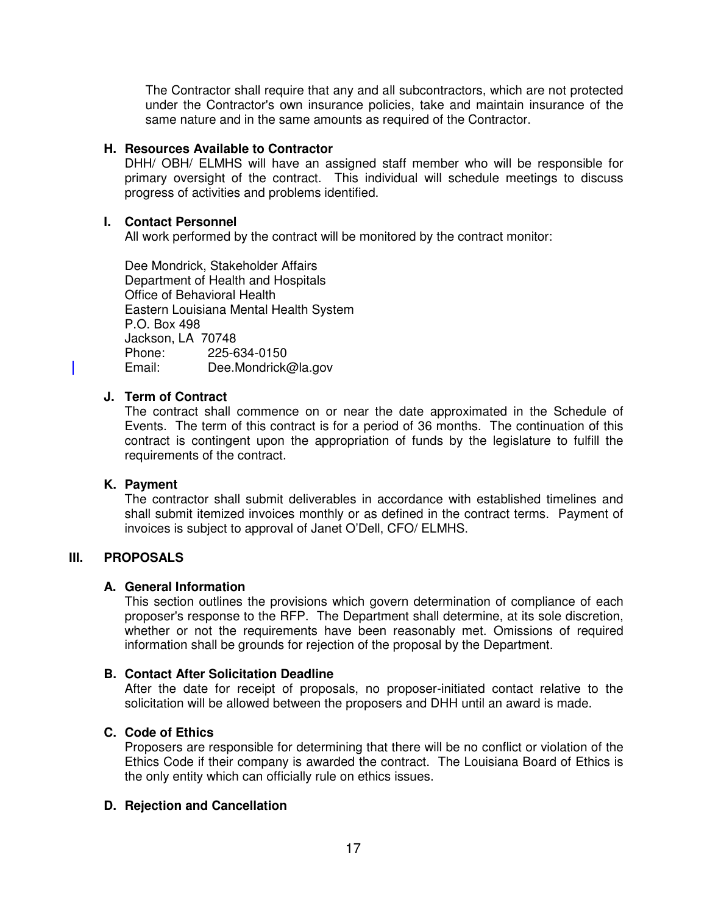The Contractor shall require that any and all subcontractors, which are not protected under the Contractor's own insurance policies, take and maintain insurance of the same nature and in the same amounts as required of the Contractor.

#### **H. Resources Available to Contractor**

DHH/ OBH/ ELMHS will have an assigned staff member who will be responsible for primary oversight of the contract. This individual will schedule meetings to discuss progress of activities and problems identified.

#### **I. Contact Personnel**

All work performed by the contract will be monitored by the contract monitor:

Dee Mondrick, Stakeholder Affairs Department of Health and Hospitals Office of Behavioral Health Eastern Louisiana Mental Health System P.O. Box 498 Jackson, LA 70748 Phone: 225-634-0150 Email: Dee.Mondrick@la.gov

# **J. Term of Contract**

The contract shall commence on or near the date approximated in the Schedule of Events. The term of this contract is for a period of 36 months. The continuation of this contract is contingent upon the appropriation of funds by the legislature to fulfill the requirements of the contract.

#### **K. Payment**

The contractor shall submit deliverables in accordance with established timelines and shall submit itemized invoices monthly or as defined in the contract terms. Payment of invoices is subject to approval of Janet O'Dell, CFO/ ELMHS.

### **III. PROPOSALS**

### **A. General Information**

This section outlines the provisions which govern determination of compliance of each proposer's response to the RFP. The Department shall determine, at its sole discretion, whether or not the requirements have been reasonably met. Omissions of required information shall be grounds for rejection of the proposal by the Department.

### **B. Contact After Solicitation Deadline**

After the date for receipt of proposals, no proposer-initiated contact relative to the solicitation will be allowed between the proposers and DHH until an award is made.

### **C. Code of Ethics**

Proposers are responsible for determining that there will be no conflict or violation of the Ethics Code if their company is awarded the contract. The Louisiana Board of Ethics is the only entity which can officially rule on ethics issues.

### **D. Rejection and Cancellation**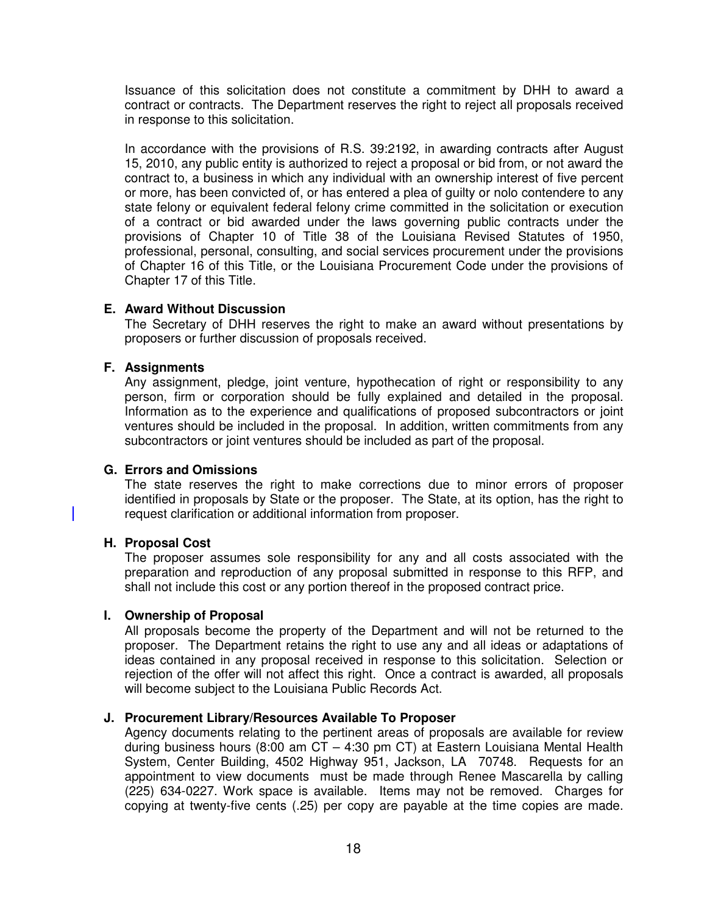Issuance of this solicitation does not constitute a commitment by DHH to award a contract or contracts. The Department reserves the right to reject all proposals received in response to this solicitation.

In accordance with the provisions of R.S. 39:2192, in awarding contracts after August 15, 2010, any public entity is authorized to reject a proposal or bid from, or not award the contract to, a business in which any individual with an ownership interest of five percent or more, has been convicted of, or has entered a plea of guilty or nolo contendere to any state felony or equivalent federal felony crime committed in the solicitation or execution of a contract or bid awarded under the laws governing public contracts under the provisions of Chapter 10 of Title 38 of the Louisiana Revised Statutes of 1950, professional, personal, consulting, and social services procurement under the provisions of Chapter 16 of this Title, or the Louisiana Procurement Code under the provisions of Chapter 17 of this Title.

#### **E. Award Without Discussion**

The Secretary of DHH reserves the right to make an award without presentations by proposers or further discussion of proposals received.

#### **F. Assignments**

Any assignment, pledge, joint venture, hypothecation of right or responsibility to any person, firm or corporation should be fully explained and detailed in the proposal. Information as to the experience and qualifications of proposed subcontractors or joint ventures should be included in the proposal. In addition, written commitments from any subcontractors or joint ventures should be included as part of the proposal.

## **G. Errors and Omissions**

The state reserves the right to make corrections due to minor errors of proposer identified in proposals by State or the proposer. The State, at its option, has the right to request clarification or additional information from proposer.

### **H. Proposal Cost**

The proposer assumes sole responsibility for any and all costs associated with the preparation and reproduction of any proposal submitted in response to this RFP, and shall not include this cost or any portion thereof in the proposed contract price.

#### **I. Ownership of Proposal**

All proposals become the property of the Department and will not be returned to the proposer. The Department retains the right to use any and all ideas or adaptations of ideas contained in any proposal received in response to this solicitation. Selection or rejection of the offer will not affect this right. Once a contract is awarded, all proposals will become subject to the Louisiana Public Records Act.

#### **J. Procurement Library/Resources Available To Proposer**

Agency documents relating to the pertinent areas of proposals are available for review during business hours (8:00 am CT – 4:30 pm CT) at Eastern Louisiana Mental Health System, Center Building, 4502 Highway 951, Jackson, LA 70748. Requests for an appointment to view documents must be made through Renee Mascarella by calling (225) 634-0227. Work space is available. Items may not be removed. Charges for copying at twenty-five cents (.25) per copy are payable at the time copies are made.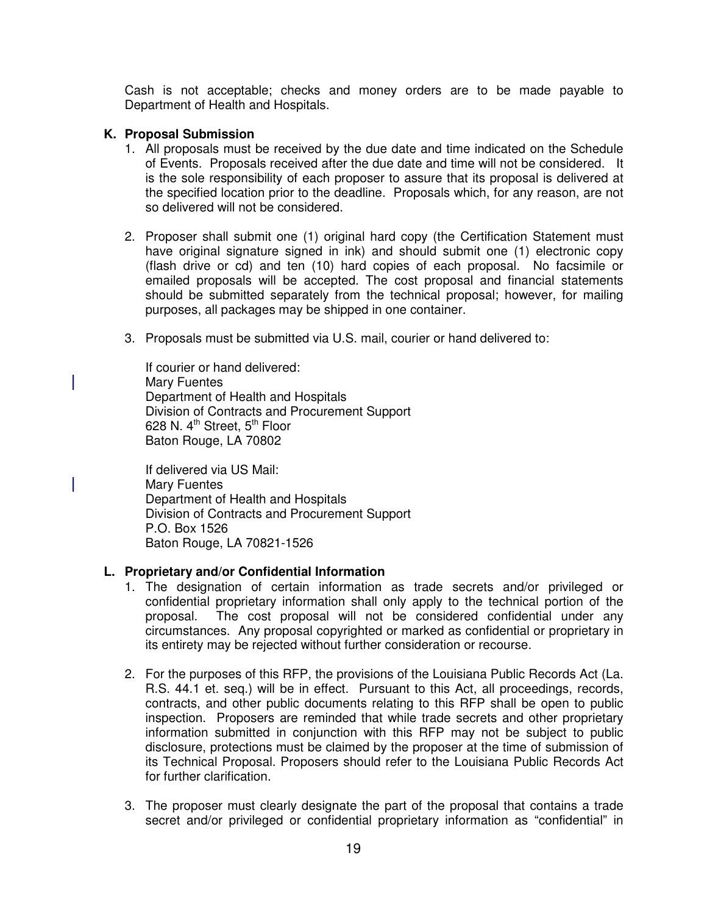Cash is not acceptable; checks and money orders are to be made payable to Department of Health and Hospitals.

#### **K. Proposal Submission**

- 1. All proposals must be received by the due date and time indicated on the Schedule of Events. Proposals received after the due date and time will not be considered. It is the sole responsibility of each proposer to assure that its proposal is delivered at the specified location prior to the deadline. Proposals which, for any reason, are not so delivered will not be considered.
- 2. Proposer shall submit one (1) original hard copy (the Certification Statement must have original signature signed in ink) and should submit one (1) electronic copy (flash drive or cd) and ten (10) hard copies of each proposal. No facsimile or emailed proposals will be accepted. The cost proposal and financial statements should be submitted separately from the technical proposal; however, for mailing purposes, all packages may be shipped in one container.
- 3. Proposals must be submitted via U.S. mail, courier or hand delivered to:

If courier or hand delivered: Mary Fuentes Department of Health and Hospitals Division of Contracts and Procurement Support 628 N.  $4^{\text{th}}$  Street,  $5^{\text{th}}$  Floor Baton Rouge, LA 70802

If delivered via US Mail: Mary Fuentes Department of Health and Hospitals Division of Contracts and Procurement Support P.O. Box 1526 Baton Rouge, LA 70821-1526

### **L. Proprietary and/or Confidential Information**

- 1. The designation of certain information as trade secrets and/or privileged or confidential proprietary information shall only apply to the technical portion of the proposal. The cost proposal will not be considered confidential under any circumstances. Any proposal copyrighted or marked as confidential or proprietary in its entirety may be rejected without further consideration or recourse.
- 2. For the purposes of this RFP, the provisions of the Louisiana Public Records Act (La. R.S. 44.1 et. seq.) will be in effect. Pursuant to this Act, all proceedings, records, contracts, and other public documents relating to this RFP shall be open to public inspection. Proposers are reminded that while trade secrets and other proprietary information submitted in conjunction with this RFP may not be subject to public disclosure, protections must be claimed by the proposer at the time of submission of its Technical Proposal. Proposers should refer to the Louisiana Public Records Act for further clarification.
- 3. The proposer must clearly designate the part of the proposal that contains a trade secret and/or privileged or confidential proprietary information as "confidential" in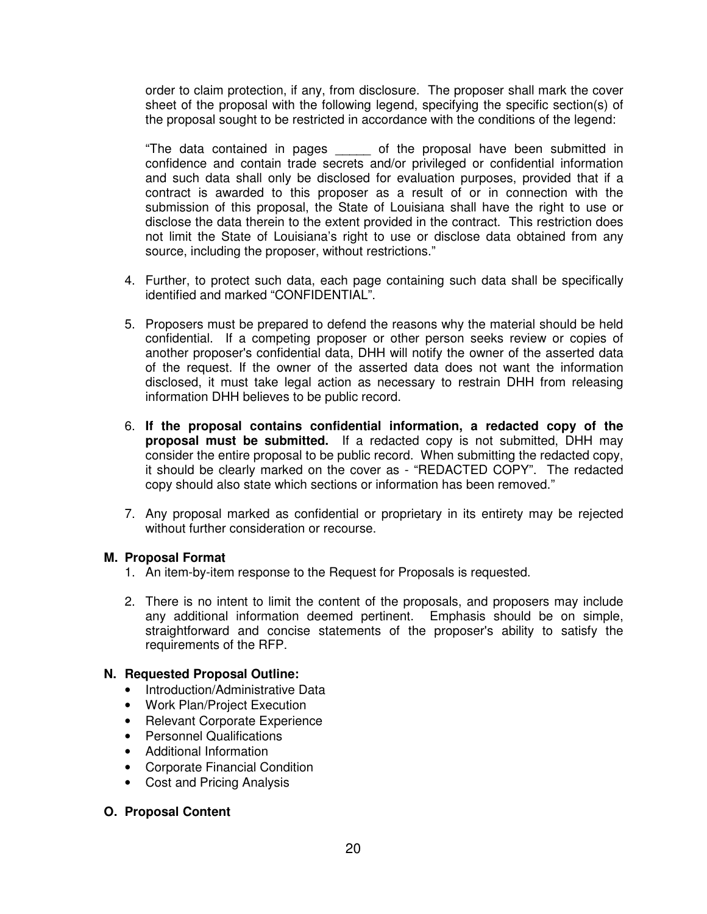order to claim protection, if any, from disclosure. The proposer shall mark the cover sheet of the proposal with the following legend, specifying the specific section(s) of the proposal sought to be restricted in accordance with the conditions of the legend:

"The data contained in pages \_\_\_\_\_ of the proposal have been submitted in confidence and contain trade secrets and/or privileged or confidential information and such data shall only be disclosed for evaluation purposes, provided that if a contract is awarded to this proposer as a result of or in connection with the submission of this proposal, the State of Louisiana shall have the right to use or disclose the data therein to the extent provided in the contract. This restriction does not limit the State of Louisiana's right to use or disclose data obtained from any source, including the proposer, without restrictions."

- 4. Further, to protect such data, each page containing such data shall be specifically identified and marked "CONFIDENTIAL".
- 5. Proposers must be prepared to defend the reasons why the material should be held confidential. If a competing proposer or other person seeks review or copies of another proposer's confidential data, DHH will notify the owner of the asserted data of the request. If the owner of the asserted data does not want the information disclosed, it must take legal action as necessary to restrain DHH from releasing information DHH believes to be public record.
- 6. **If the proposal contains confidential information, a redacted copy of the proposal must be submitted.** If a redacted copy is not submitted, DHH may consider the entire proposal to be public record. When submitting the redacted copy, it should be clearly marked on the cover as - "REDACTED COPY". The redacted copy should also state which sections or information has been removed."
- 7. Any proposal marked as confidential or proprietary in its entirety may be rejected without further consideration or recourse.

### **M. Proposal Format**

- 1. An item-by-item response to the Request for Proposals is requested.
- 2. There is no intent to limit the content of the proposals, and proposers may include any additional information deemed pertinent. Emphasis should be on simple, straightforward and concise statements of the proposer's ability to satisfy the requirements of the RFP.

#### **N. Requested Proposal Outline:**

- Introduction/Administrative Data
- Work Plan/Project Execution
- Relevant Corporate Experience
- Personnel Qualifications
- Additional Information
- Corporate Financial Condition
- Cost and Pricing Analysis

#### **O. Proposal Content**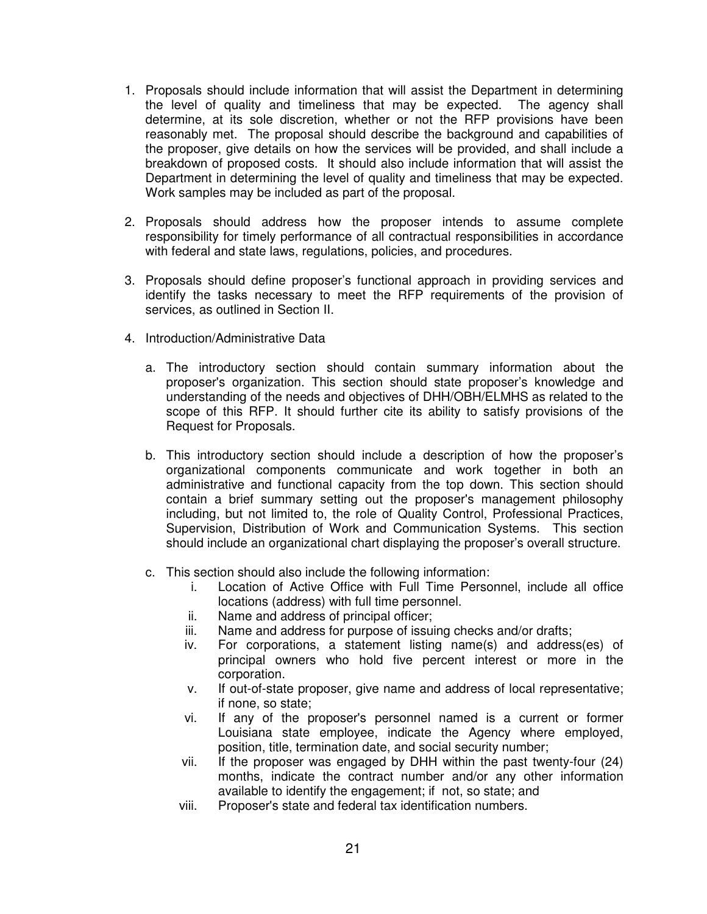- 1. Proposals should include information that will assist the Department in determining the level of quality and timeliness that may be expected. The agency shall determine, at its sole discretion, whether or not the RFP provisions have been reasonably met. The proposal should describe the background and capabilities of the proposer, give details on how the services will be provided, and shall include a breakdown of proposed costs. It should also include information that will assist the Department in determining the level of quality and timeliness that may be expected. Work samples may be included as part of the proposal.
- 2. Proposals should address how the proposer intends to assume complete responsibility for timely performance of all contractual responsibilities in accordance with federal and state laws, regulations, policies, and procedures.
- 3. Proposals should define proposer's functional approach in providing services and identify the tasks necessary to meet the RFP requirements of the provision of services, as outlined in Section II.
- 4. Introduction/Administrative Data
	- a. The introductory section should contain summary information about the proposer's organization. This section should state proposer's knowledge and understanding of the needs and objectives of DHH/OBH/ELMHS as related to the scope of this RFP. It should further cite its ability to satisfy provisions of the Request for Proposals.
	- b. This introductory section should include a description of how the proposer's organizational components communicate and work together in both an administrative and functional capacity from the top down. This section should contain a brief summary setting out the proposer's management philosophy including, but not limited to, the role of Quality Control, Professional Practices, Supervision, Distribution of Work and Communication Systems. This section should include an organizational chart displaying the proposer's overall structure.
	- c. This section should also include the following information:
		- i. Location of Active Office with Full Time Personnel, include all office locations (address) with full time personnel.
		- ii. Name and address of principal officer;
		- iii. Name and address for purpose of issuing checks and/or drafts;
		- iv. For corporations, a statement listing name(s) and address(es) of principal owners who hold five percent interest or more in the corporation.
		- v. If out-of-state proposer, give name and address of local representative; if none, so state;
		- vi. If any of the proposer's personnel named is a current or former Louisiana state employee, indicate the Agency where employed, position, title, termination date, and social security number;
		- vii. If the proposer was engaged by DHH within the past twenty-four (24) months, indicate the contract number and/or any other information available to identify the engagement; if not, so state; and
		- viii. Proposer's state and federal tax identification numbers.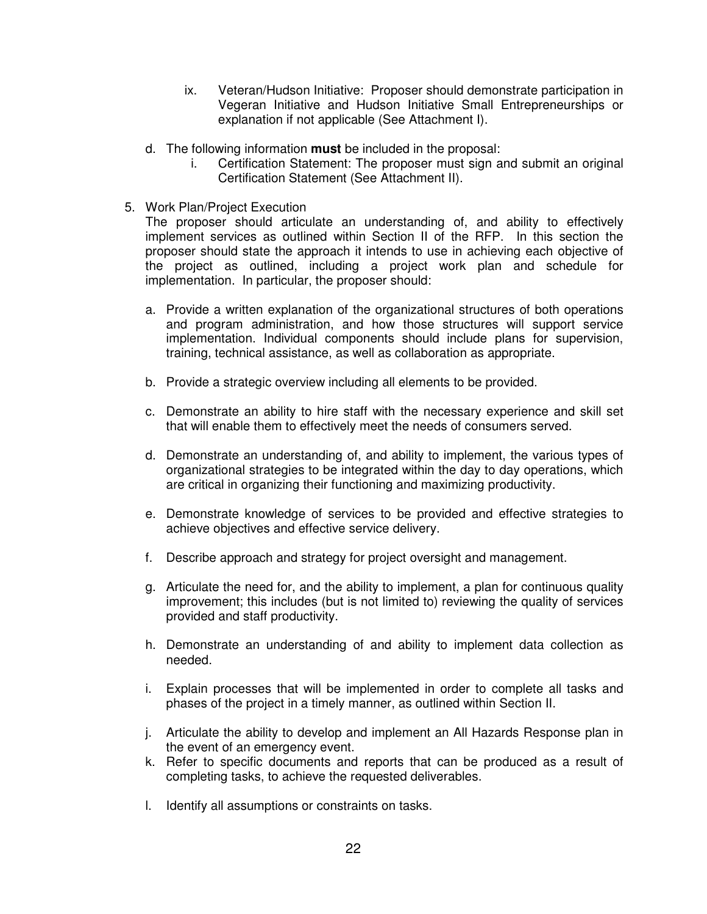- ix. Veteran/Hudson Initiative: Proposer should demonstrate participation in Vegeran Initiative and Hudson Initiative Small Entrepreneurships or explanation if not applicable (See Attachment I).
- d. The following information **must** be included in the proposal:
	- i. Certification Statement: The proposer must sign and submit an original Certification Statement (See Attachment II).
- 5. Work Plan/Project Execution

The proposer should articulate an understanding of, and ability to effectively implement services as outlined within Section II of the RFP. In this section the proposer should state the approach it intends to use in achieving each objective of the project as outlined, including a project work plan and schedule for implementation. In particular, the proposer should:

- a. Provide a written explanation of the organizational structures of both operations and program administration, and how those structures will support service implementation. Individual components should include plans for supervision, training, technical assistance, as well as collaboration as appropriate.
- b. Provide a strategic overview including all elements to be provided.
- c. Demonstrate an ability to hire staff with the necessary experience and skill set that will enable them to effectively meet the needs of consumers served.
- d. Demonstrate an understanding of, and ability to implement, the various types of organizational strategies to be integrated within the day to day operations, which are critical in organizing their functioning and maximizing productivity.
- e. Demonstrate knowledge of services to be provided and effective strategies to achieve objectives and effective service delivery.
- f. Describe approach and strategy for project oversight and management.
- g. Articulate the need for, and the ability to implement, a plan for continuous quality improvement; this includes (but is not limited to) reviewing the quality of services provided and staff productivity.
- h. Demonstrate an understanding of and ability to implement data collection as needed.
- i. Explain processes that will be implemented in order to complete all tasks and phases of the project in a timely manner, as outlined within Section II.
- j. Articulate the ability to develop and implement an All Hazards Response plan in the event of an emergency event.
- k. Refer to specific documents and reports that can be produced as a result of completing tasks, to achieve the requested deliverables.
- l. Identify all assumptions or constraints on tasks.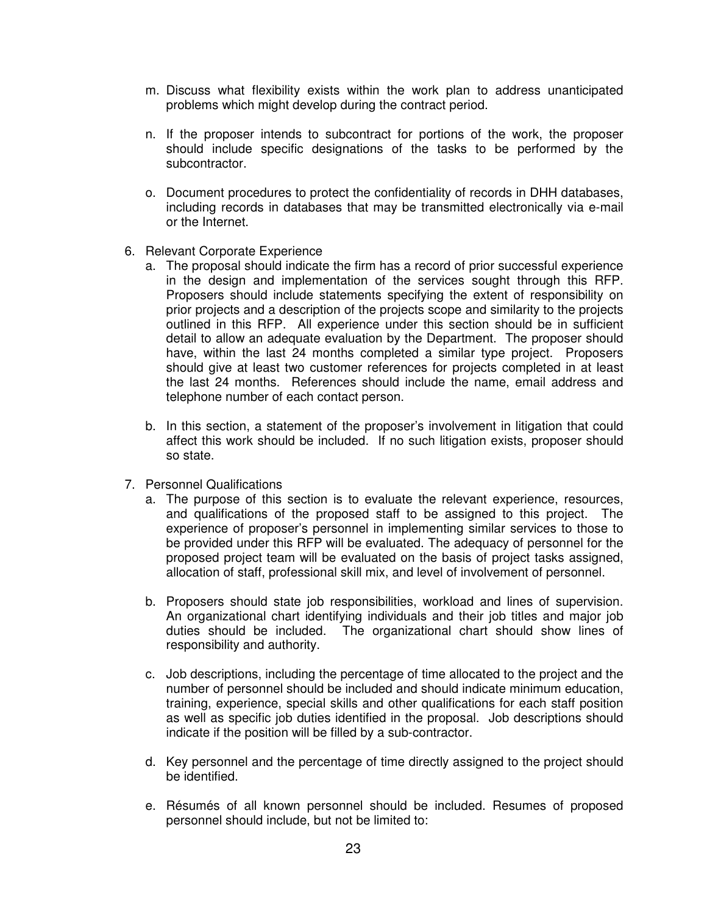- m. Discuss what flexibility exists within the work plan to address unanticipated problems which might develop during the contract period.
- n. If the proposer intends to subcontract for portions of the work, the proposer should include specific designations of the tasks to be performed by the subcontractor.
- o. Document procedures to protect the confidentiality of records in DHH databases, including records in databases that may be transmitted electronically via e-mail or the Internet.
- 6. Relevant Corporate Experience
	- a. The proposal should indicate the firm has a record of prior successful experience in the design and implementation of the services sought through this RFP. Proposers should include statements specifying the extent of responsibility on prior projects and a description of the projects scope and similarity to the projects outlined in this RFP. All experience under this section should be in sufficient detail to allow an adequate evaluation by the Department. The proposer should have, within the last 24 months completed a similar type project. Proposers should give at least two customer references for projects completed in at least the last 24 months. References should include the name, email address and telephone number of each contact person.
	- b. In this section, a statement of the proposer's involvement in litigation that could affect this work should be included. If no such litigation exists, proposer should so state.
- 7. Personnel Qualifications
	- a. The purpose of this section is to evaluate the relevant experience, resources, and qualifications of the proposed staff to be assigned to this project. The experience of proposer's personnel in implementing similar services to those to be provided under this RFP will be evaluated. The adequacy of personnel for the proposed project team will be evaluated on the basis of project tasks assigned, allocation of staff, professional skill mix, and level of involvement of personnel.
	- b. Proposers should state job responsibilities, workload and lines of supervision. An organizational chart identifying individuals and their job titles and major job duties should be included. The organizational chart should show lines of responsibility and authority.
	- c. Job descriptions, including the percentage of time allocated to the project and the number of personnel should be included and should indicate minimum education, training, experience, special skills and other qualifications for each staff position as well as specific job duties identified in the proposal. Job descriptions should indicate if the position will be filled by a sub-contractor.
	- d. Key personnel and the percentage of time directly assigned to the project should be identified.
	- e. Résumés of all known personnel should be included. Resumes of proposed personnel should include, but not be limited to: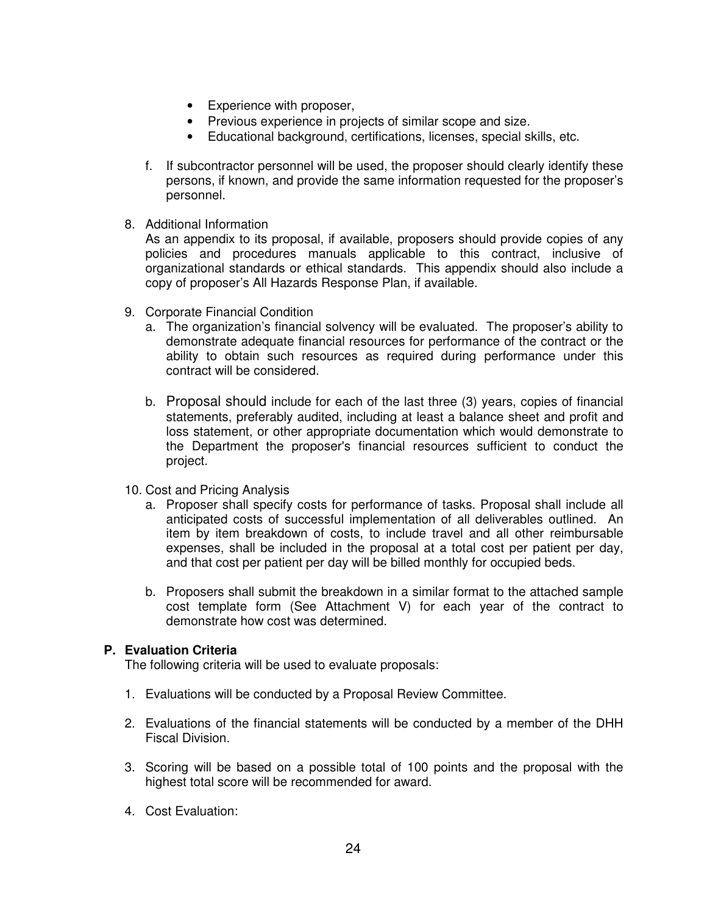- Experience with proposer,
- Previous experience in projects of similar scope and size.
- Educational background, certifications, licenses, special skills, etc.
- f. If subcontractor personnel will be used, the proposer should clearly identify these persons, if known, and provide the same information requested for the proposer's personnel.
- 8. Additional Information

As an appendix to its proposal, if available, proposers should provide copies of any policies and procedures manuals applicable to this contract, inclusive of organizational standards or ethical standards. This appendix should also include a copy of proposer's All Hazards Response Plan, if available.

- 9. Corporate Financial Condition
	- a. The organization's financial solvency will be evaluated. The proposer's ability to demonstrate adequate financial resources for performance of the contract or the ability to obtain such resources as required during performance under this contract will be considered.
	- b. Proposal should include for each of the last three (3) years, copies of financial statements, preferably audited, including at least a balance sheet and profit and loss statement, or other appropriate documentation which would demonstrate to the Department the proposer's financial resources sufficient to conduct the project.
- 10. Cost and Pricing Analysis
	- a. Proposer shall specify costs for performance of tasks. Proposal shall include all anticipated costs of successful implementation of all deliverables outlined. An item by item breakdown of costs, to include travel and all other reimbursable expenses, shall be included in the proposal at a total cost per patient per day, and that cost per patient per day will be billed monthly for occupied beds.
	- b. Proposers shall submit the breakdown in a similar format to the attached sample cost template form (See Attachment V) for each year of the contract to demonstrate how cost was determined.

### **P. Evaluation Criteria**

The following criteria will be used to evaluate proposals:

- 1. Evaluations will be conducted by a Proposal Review Committee.
- 2. Evaluations of the financial statements will be conducted by a member of the DHH Fiscal Division.
- 3. Scoring will be based on a possible total of 100 points and the proposal with the highest total score will be recommended for award.
- 4. Cost Evaluation: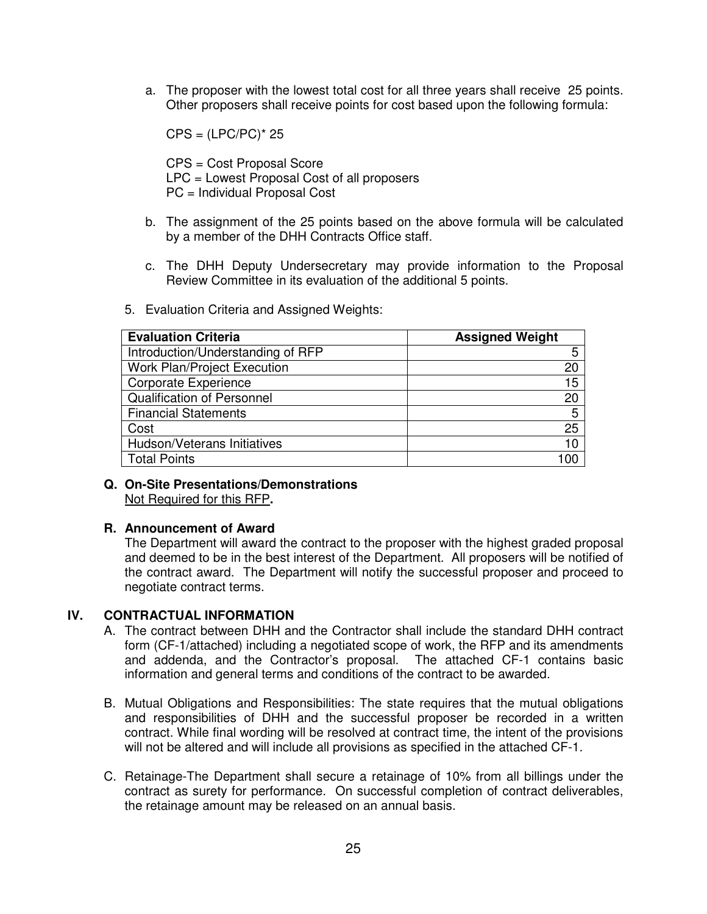a. The proposer with the lowest total cost for all three years shall receive 25 points. Other proposers shall receive points for cost based upon the following formula:

 $CPS = (LPC/PC)^* 25$ 

CPS = Cost Proposal Score LPC = Lowest Proposal Cost of all proposers PC = Individual Proposal Cost

- b. The assignment of the 25 points based on the above formula will be calculated by a member of the DHH Contracts Office staff.
- c. The DHH Deputy Undersecretary may provide information to the Proposal Review Committee in its evaluation of the additional 5 points.

|  | 5. Evaluation Criteria and Assigned Weights: |  |  |  |  |  |
|--|----------------------------------------------|--|--|--|--|--|
|--|----------------------------------------------|--|--|--|--|--|

| <b>Evaluation Criteria</b>         | <b>Assigned Weight</b> |
|------------------------------------|------------------------|
| Introduction/Understanding of RFP  | 5                      |
| <b>Work Plan/Project Execution</b> | 20                     |
| Corporate Experience               | 15                     |
| <b>Qualification of Personnel</b>  | 20                     |
| <b>Financial Statements</b>        | 5                      |
| Cost                               | 25                     |
| Hudson/Veterans Initiatives        | 10                     |
| <b>Total Points</b>                |                        |

**Q. On-Site Presentations/Demonstrations**  Not Required for this RFP**.** 

#### **R. Announcement of Award**

The Department will award the contract to the proposer with the highest graded proposal and deemed to be in the best interest of the Department. All proposers will be notified of the contract award. The Department will notify the successful proposer and proceed to negotiate contract terms.

#### **IV. CONTRACTUAL INFORMATION**

- A. The contract between DHH and the Contractor shall include the standard DHH contract form (CF-1/attached) including a negotiated scope of work, the RFP and its amendments and addenda, and the Contractor's proposal. The attached CF-1 contains basic information and general terms and conditions of the contract to be awarded.
- B. Mutual Obligations and Responsibilities: The state requires that the mutual obligations and responsibilities of DHH and the successful proposer be recorded in a written contract. While final wording will be resolved at contract time, the intent of the provisions will not be altered and will include all provisions as specified in the attached CF-1.
- C. Retainage-The Department shall secure a retainage of 10% from all billings under the contract as surety for performance. On successful completion of contract deliverables, the retainage amount may be released on an annual basis.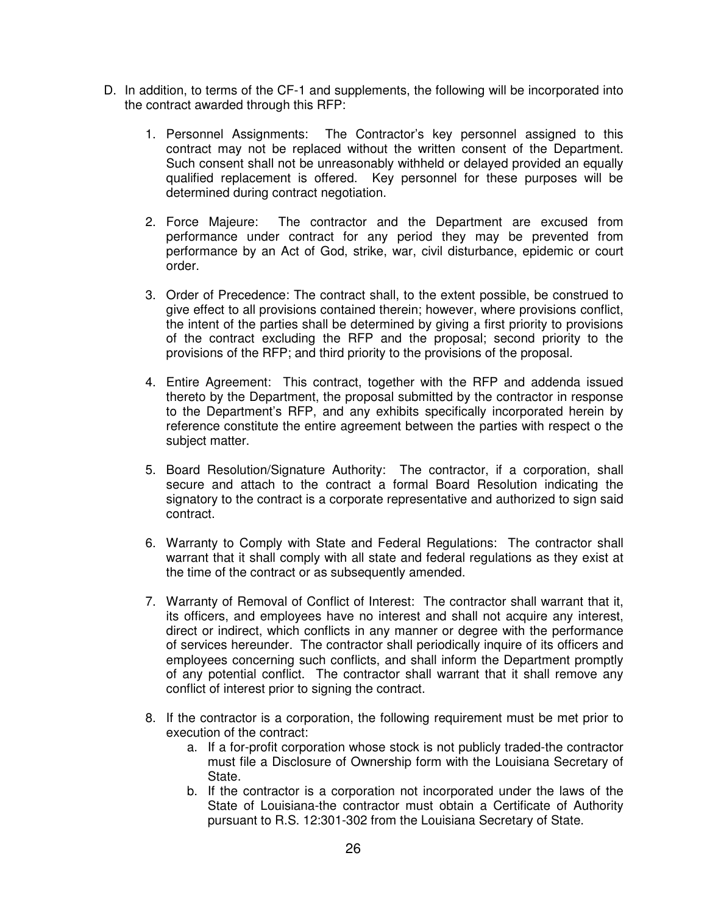- D. In addition, to terms of the CF-1 and supplements, the following will be incorporated into the contract awarded through this RFP:
	- 1. Personnel Assignments: The Contractor's key personnel assigned to this contract may not be replaced without the written consent of the Department. Such consent shall not be unreasonably withheld or delayed provided an equally qualified replacement is offered. Key personnel for these purposes will be determined during contract negotiation.
	- 2. Force Majeure: The contractor and the Department are excused from performance under contract for any period they may be prevented from performance by an Act of God, strike, war, civil disturbance, epidemic or court order.
	- 3. Order of Precedence: The contract shall, to the extent possible, be construed to give effect to all provisions contained therein; however, where provisions conflict, the intent of the parties shall be determined by giving a first priority to provisions of the contract excluding the RFP and the proposal; second priority to the provisions of the RFP; and third priority to the provisions of the proposal.
	- 4. Entire Agreement: This contract, together with the RFP and addenda issued thereto by the Department, the proposal submitted by the contractor in response to the Department's RFP, and any exhibits specifically incorporated herein by reference constitute the entire agreement between the parties with respect o the subject matter.
	- 5. Board Resolution/Signature Authority: The contractor, if a corporation, shall secure and attach to the contract a formal Board Resolution indicating the signatory to the contract is a corporate representative and authorized to sign said contract.
	- 6. Warranty to Comply with State and Federal Regulations: The contractor shall warrant that it shall comply with all state and federal regulations as they exist at the time of the contract or as subsequently amended.
	- 7. Warranty of Removal of Conflict of Interest: The contractor shall warrant that it, its officers, and employees have no interest and shall not acquire any interest, direct or indirect, which conflicts in any manner or degree with the performance of services hereunder. The contractor shall periodically inquire of its officers and employees concerning such conflicts, and shall inform the Department promptly of any potential conflict. The contractor shall warrant that it shall remove any conflict of interest prior to signing the contract.
	- 8. If the contractor is a corporation, the following requirement must be met prior to execution of the contract:
		- a. If a for-profit corporation whose stock is not publicly traded-the contractor must file a Disclosure of Ownership form with the Louisiana Secretary of State.
		- b. If the contractor is a corporation not incorporated under the laws of the State of Louisiana-the contractor must obtain a Certificate of Authority pursuant to R.S. 12:301-302 from the Louisiana Secretary of State.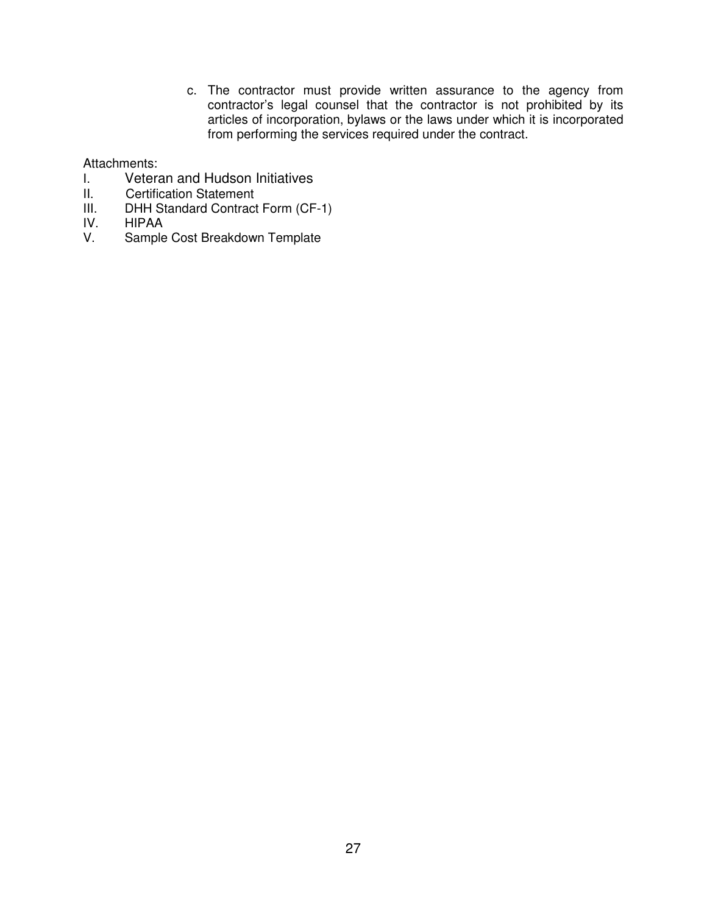c. The contractor must provide written assurance to the agency from contractor's legal counsel that the contractor is not prohibited by its articles of incorporation, bylaws or the laws under which it is incorporated from performing the services required under the contract.

Attachments:

- I. Veteran and Hudson Initiatives<br>II. Certification Statement
- **Certification Statement**
- III. DHH Standard Contract Form (CF-1)<br>IV. HIPAA
- IV. HIPAA<br>V. Sample
- Sample Cost Breakdown Template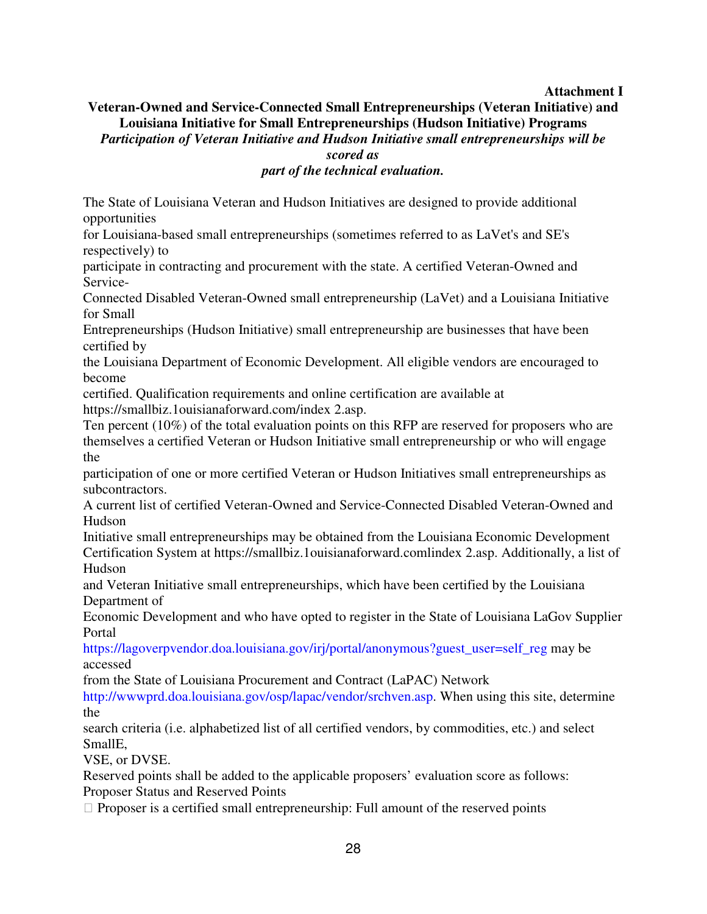# **Attachment I**

# **Veteran-Owned and Service-Connected Small Entrepreneurships (Veteran Initiative) and Louisiana Initiative for Small Entrepreneurships (Hudson Initiative) Programs**  *Participation of Veteran Initiative and Hudson Initiative small entrepreneurships will be scored as*

# *part of the technical evaluation.*

The State of Louisiana Veteran and Hudson Initiatives are designed to provide additional opportunities

for Louisiana-based small entrepreneurships (sometimes referred to as LaVet's and SE's respectively) to

participate in contracting and procurement with the state. A certified Veteran-Owned and Service-

Connected Disabled Veteran-Owned small entrepreneurship (LaVet) and a Louisiana Initiative for Small

Entrepreneurships (Hudson Initiative) small entrepreneurship are businesses that have been certified by

the Louisiana Department of Economic Development. All eligible vendors are encouraged to become

certified. Qualification requirements and online certification are available at https://smallbiz.1ouisianaforward.com/index 2.asp.

Ten percent (10%) of the total evaluation points on this RFP are reserved for proposers who are themselves a certified Veteran or Hudson Initiative small entrepreneurship or who will engage the

participation of one or more certified Veteran or Hudson Initiatives small entrepreneurships as subcontractors.

A current list of certified Veteran-Owned and Service-Connected Disabled Veteran-Owned and Hudson

Initiative small entrepreneurships may be obtained from the Louisiana Economic Development Certification System at https://smallbiz.1ouisianaforward.comlindex 2.asp. Additionally, a list of Hudson

and Veteran Initiative small entrepreneurships, which have been certified by the Louisiana Department of

Economic Development and who have opted to register in the State of Louisiana LaGov Supplier Portal

https://lagoverpvendor.doa.louisiana.gov/irj/portal/anonymous?guest\_user=self\_reg may be accessed

from the State of Louisiana Procurement and Contract (LaPAC) Network

http://wwwprd.doa.louisiana.gov/osp/lapac/vendor/srchven.asp. When using this site, determine the

search criteria (i.e. alphabetized list of all certified vendors, by commodities, etc.) and select SmallE,

VSE, or DVSE.

Reserved points shall be added to the applicable proposers' evaluation score as follows: Proposer Status and Reserved Points

Proposer is a certified small entrepreneurship: Full amount of the reserved points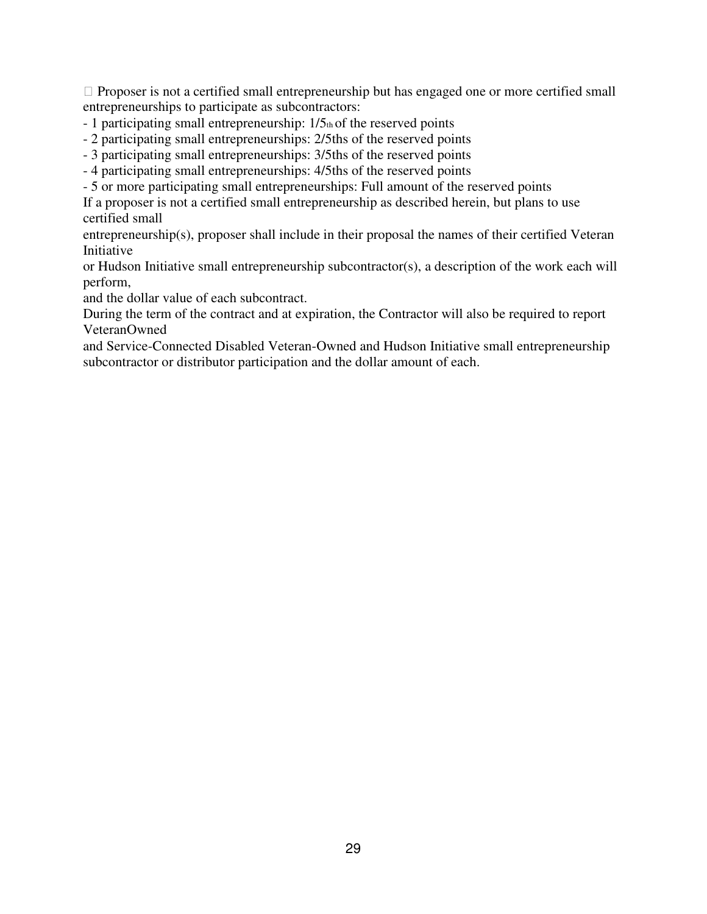Proposer is not a certified small entrepreneurship but has engaged one or more certified small entrepreneurships to participate as subcontractors:

- $-1$  participating small entrepreneurship:  $1/5<sub>th</sub>$  of the reserved points
- 2 participating small entrepreneurships: 2/5ths of the reserved points
- 3 participating small entrepreneurships: 3/5ths of the reserved points
- 4 participating small entrepreneurships: 4/5ths of the reserved points
- 5 or more participating small entrepreneurships: Full amount of the reserved points

If a proposer is not a certified small entrepreneurship as described herein, but plans to use certified small

entrepreneurship(s), proposer shall include in their proposal the names of their certified Veteran Initiative

or Hudson Initiative small entrepreneurship subcontractor(s), a description of the work each will perform,

and the dollar value of each subcontract.

During the term of the contract and at expiration, the Contractor will also be required to report VeteranOwned

and Service-Connected Disabled Veteran-Owned and Hudson Initiative small entrepreneurship subcontractor or distributor participation and the dollar amount of each.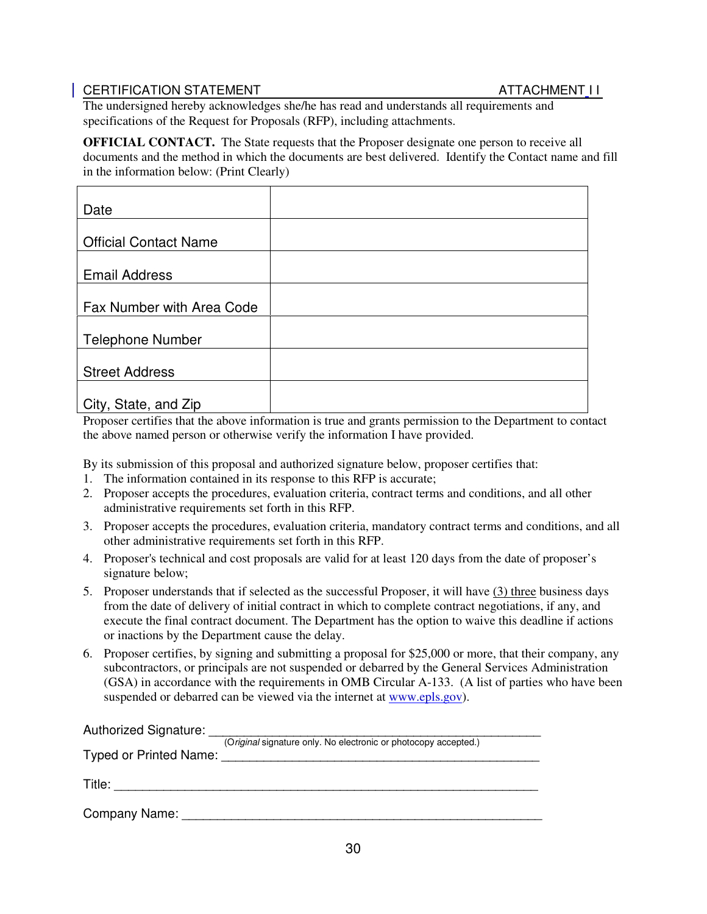# CERTIFICATION STATEMENT ATTACHMENT I I

The undersigned hereby acknowledges she/he has read and understands all requirements and specifications of the Request for Proposals (RFP), including attachments.

**OFFICIAL CONTACT.** The State requests that the Proposer designate one person to receive all documents and the method in which the documents are best delivered. Identify the Contact name and fill in the information below: (Print Clearly)

| Date                         |  |
|------------------------------|--|
|                              |  |
| <b>Official Contact Name</b> |  |
|                              |  |
| <b>Email Address</b>         |  |
|                              |  |
| Fax Number with Area Code    |  |
|                              |  |
| <b>Telephone Number</b>      |  |
|                              |  |
| <b>Street Address</b>        |  |
|                              |  |
| City, State, and Zip         |  |

Proposer certifies that the above information is true and grants permission to the Department to contact the above named person or otherwise verify the information I have provided.

By its submission of this proposal and authorized signature below, proposer certifies that:

- 1. The information contained in its response to this RFP is accurate;
- 2. Proposer accepts the procedures, evaluation criteria, contract terms and conditions, and all other administrative requirements set forth in this RFP.
- 3. Proposer accepts the procedures, evaluation criteria, mandatory contract terms and conditions, and all other administrative requirements set forth in this RFP.
- 4. Proposer's technical and cost proposals are valid for at least 120 days from the date of proposer's signature below;
- 5. Proposer understands that if selected as the successful Proposer, it will have (3) three business days from the date of delivery of initial contract in which to complete contract negotiations, if any, and execute the final contract document. The Department has the option to waive this deadline if actions or inactions by the Department cause the delay.
- 6. Proposer certifies, by signing and submitting a proposal for \$25,000 or more, that their company, any subcontractors, or principals are not suspended or debarred by the General Services Administration (GSA) in accordance with the requirements in OMB Circular A-133. (A list of parties who have been suspended or debarred can be viewed via the internet at www.epls.gov).

| Authorized Signature:  |                                                                 |
|------------------------|-----------------------------------------------------------------|
| Typed or Printed Name: | (Original signature only. No electronic or photocopy accepted.) |
| Title:                 |                                                                 |
| <b>Company Name:</b>   |                                                                 |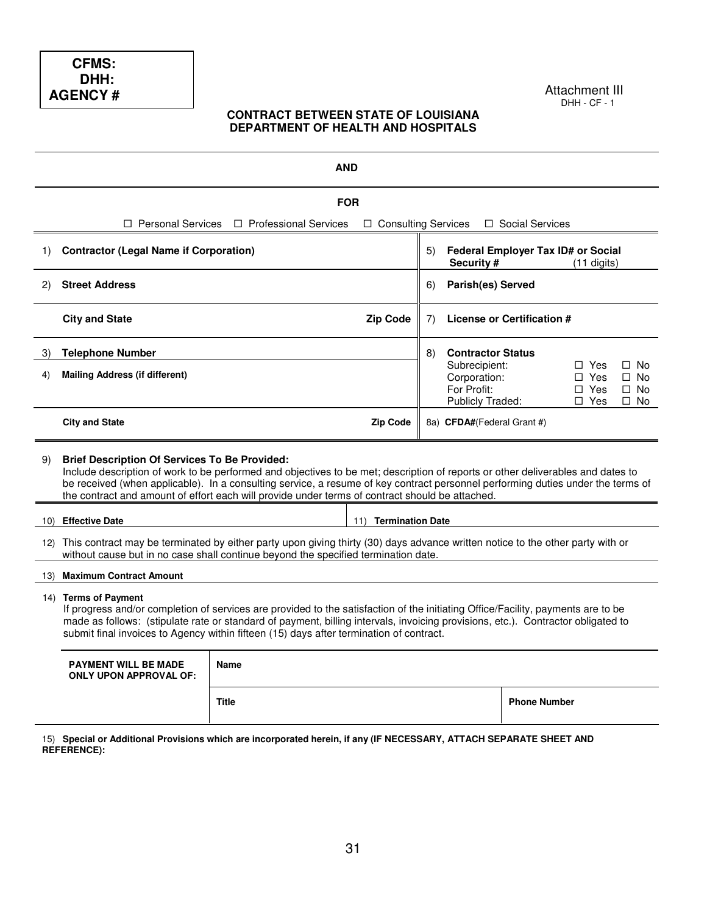#### Attachment III DHH - CF - 1

#### **CONTRACT BETWEEN STATE OF LOUISIANA DEPARTMENT OF HEALTH AND HOSPITALS**

|     | <b>AND</b>                                                                                                                                                                                                                                                                                                                                                                                                                    |                              |                       |    |                                                                         |                                    |                                                      |                                                  |
|-----|-------------------------------------------------------------------------------------------------------------------------------------------------------------------------------------------------------------------------------------------------------------------------------------------------------------------------------------------------------------------------------------------------------------------------------|------------------------------|-----------------------|----|-------------------------------------------------------------------------|------------------------------------|------------------------------------------------------|--------------------------------------------------|
|     | <b>FOR</b>                                                                                                                                                                                                                                                                                                                                                                                                                    |                              |                       |    |                                                                         |                                    |                                                      |                                                  |
|     | $\Box$ Personal Services                                                                                                                                                                                                                                                                                                                                                                                                      | $\Box$ Professional Services | □ Consulting Services |    |                                                                         | □ Social Services                  |                                                      |                                                  |
| 1)  | <b>Contractor (Legal Name if Corporation)</b>                                                                                                                                                                                                                                                                                                                                                                                 |                              |                       | 5) | Security #                                                              | Federal Employer Tax ID# or Social | $(11$ digits)                                        |                                                  |
| (2) | <b>Street Address</b>                                                                                                                                                                                                                                                                                                                                                                                                         |                              |                       | 6) | Parish(es) Served                                                       |                                    |                                                      |                                                  |
|     | <b>City and State</b>                                                                                                                                                                                                                                                                                                                                                                                                         |                              | <b>Zip Code</b>       | 7) |                                                                         | License or Certification #         |                                                      |                                                  |
| 3)  | <b>Telephone Number</b>                                                                                                                                                                                                                                                                                                                                                                                                       |                              |                       | 8) | <b>Contractor Status</b>                                                |                                    |                                                      |                                                  |
| 4)  | <b>Mailing Address (if different)</b>                                                                                                                                                                                                                                                                                                                                                                                         |                              |                       |    | Subrecipient:<br>Corporation:<br>For Profit:<br><b>Publicly Traded:</b> |                                    | $\Box$ Yes<br>$\Box$ Yes<br>$\Box$ Yes<br>$\Box$ Yes | $\Box$ No<br>$\Box$ No<br>$\Box$ No<br>$\Box$ No |
|     | <b>City and State</b><br><b>Zip Code</b><br>8a) CFDA#(Federal Grant #)                                                                                                                                                                                                                                                                                                                                                        |                              |                       |    |                                                                         |                                    |                                                      |                                                  |
| 9)  | <b>Brief Description Of Services To Be Provided:</b><br>Include description of work to be performed and objectives to be met; description of reports or other deliverables and dates to<br>be received (when applicable). In a consulting service, a resume of key contract personnel performing duties under the terms of<br>the contract and amount of effort each will provide under terms of contract should be attached. |                              |                       |    |                                                                         |                                    |                                                      |                                                  |
| 10) | <b>Effective Date</b><br>11)<br><b>Termination Date</b>                                                                                                                                                                                                                                                                                                                                                                       |                              |                       |    |                                                                         |                                    |                                                      |                                                  |
|     | 12) This contract may be terminated by either party upon giving thirty (30) days advance written notice to the other party with or<br>without cause but in no case shall continue beyond the specified termination date.                                                                                                                                                                                                      |                              |                       |    |                                                                         |                                    |                                                      |                                                  |
|     | 13) Maximum Contract Amount                                                                                                                                                                                                                                                                                                                                                                                                   |                              |                       |    |                                                                         |                                    |                                                      |                                                  |
|     | 14) Terms of Payment<br>If progress and/or completion of services are provided to the satisfaction of the initiating Office/Facility, payments are to be<br>made as follows: (stipulate rate or standard of payment, billing intervals, invoicing provisions, etc.). Contractor obligated to<br>submit final invoices to Agency within fifteen (15) days after termination of contract.                                       |                              |                       |    |                                                                         |                                    |                                                      |                                                  |
|     | <b>PAYMENT WILL BE MADE</b><br><b>Name</b><br><b>ONLY UPON APPROVAL OF:</b>                                                                                                                                                                                                                                                                                                                                                   |                              |                       |    |                                                                         |                                    |                                                      |                                                  |
|     |                                                                                                                                                                                                                                                                                                                                                                                                                               | <b>Title</b>                 |                       |    |                                                                         | <b>Phone Number</b>                |                                                      |                                                  |

15) **Special or Additional Provisions which are incorporated herein, if any (IF NECESSARY, ATTACH SEPARATE SHEET AND REFERENCE):**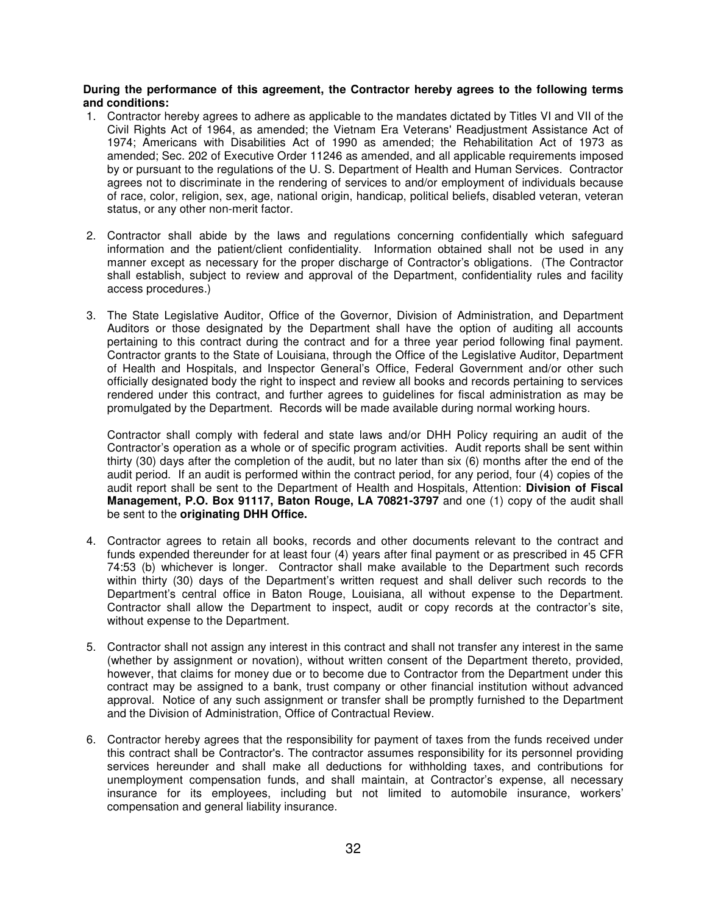#### **During the performance of this agreement, the Contractor hereby agrees to the following terms and conditions:**

- 1. Contractor hereby agrees to adhere as applicable to the mandates dictated by Titles VI and VII of the Civil Rights Act of 1964, as amended; the Vietnam Era Veterans' Readjustment Assistance Act of 1974; Americans with Disabilities Act of 1990 as amended; the Rehabilitation Act of 1973 as amended; Sec. 202 of Executive Order 11246 as amended, and all applicable requirements imposed by or pursuant to the regulations of the U. S. Department of Health and Human Services. Contractor agrees not to discriminate in the rendering of services to and/or employment of individuals because of race, color, religion, sex, age, national origin, handicap, political beliefs, disabled veteran, veteran status, or any other non-merit factor.
- 2. Contractor shall abide by the laws and regulations concerning confidentially which safeguard information and the patient/client confidentiality. Information obtained shall not be used in any manner except as necessary for the proper discharge of Contractor's obligations. (The Contractor shall establish, subject to review and approval of the Department, confidentiality rules and facility access procedures.)
- 3. The State Legislative Auditor, Office of the Governor, Division of Administration, and Department Auditors or those designated by the Department shall have the option of auditing all accounts pertaining to this contract during the contract and for a three year period following final payment. Contractor grants to the State of Louisiana, through the Office of the Legislative Auditor, Department of Health and Hospitals, and Inspector General's Office, Federal Government and/or other such officially designated body the right to inspect and review all books and records pertaining to services rendered under this contract, and further agrees to guidelines for fiscal administration as may be promulgated by the Department. Records will be made available during normal working hours.

Contractor shall comply with federal and state laws and/or DHH Policy requiring an audit of the Contractor's operation as a whole or of specific program activities. Audit reports shall be sent within thirty (30) days after the completion of the audit, but no later than six (6) months after the end of the audit period. If an audit is performed within the contract period, for any period, four (4) copies of the audit report shall be sent to the Department of Health and Hospitals, Attention: **Division of Fiscal Management, P.O. Box 91117, Baton Rouge, LA 70821-3797** and one (1) copy of the audit shall be sent to the **originating DHH Office.**

- 4. Contractor agrees to retain all books, records and other documents relevant to the contract and funds expended thereunder for at least four (4) years after final payment or as prescribed in 45 CFR 74:53 (b) whichever is longer. Contractor shall make available to the Department such records within thirty (30) days of the Department's written request and shall deliver such records to the Department's central office in Baton Rouge, Louisiana, all without expense to the Department. Contractor shall allow the Department to inspect, audit or copy records at the contractor's site, without expense to the Department.
- 5. Contractor shall not assign any interest in this contract and shall not transfer any interest in the same (whether by assignment or novation), without written consent of the Department thereto, provided, however, that claims for money due or to become due to Contractor from the Department under this contract may be assigned to a bank, trust company or other financial institution without advanced approval. Notice of any such assignment or transfer shall be promptly furnished to the Department and the Division of Administration, Office of Contractual Review.
- 6. Contractor hereby agrees that the responsibility for payment of taxes from the funds received under this contract shall be Contractor's. The contractor assumes responsibility for its personnel providing services hereunder and shall make all deductions for withholding taxes, and contributions for unemployment compensation funds, and shall maintain, at Contractor's expense, all necessary insurance for its employees, including but not limited to automobile insurance, workers' compensation and general liability insurance.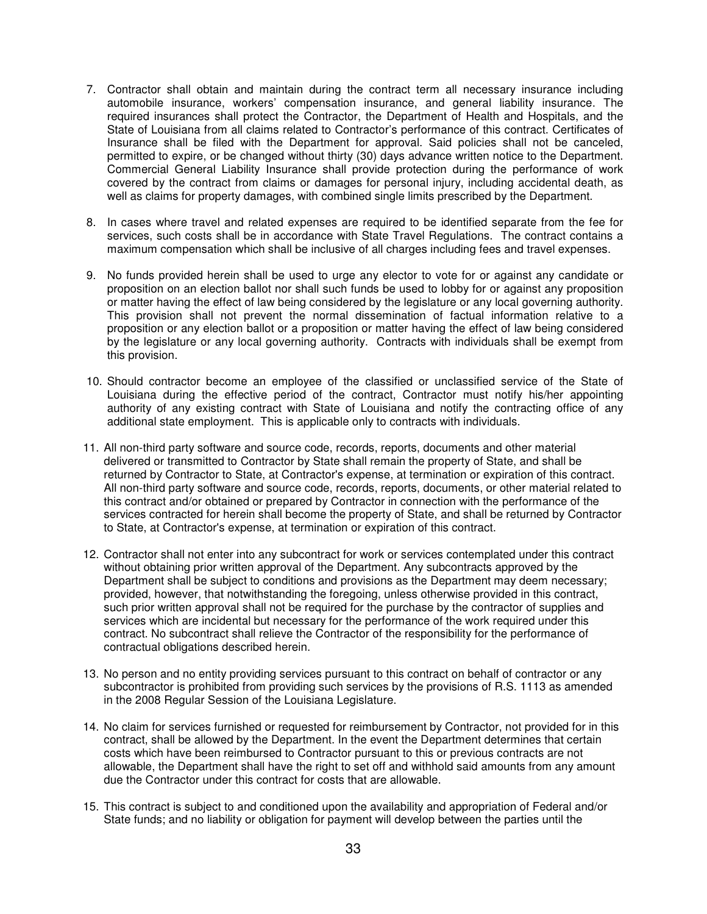- 7. Contractor shall obtain and maintain during the contract term all necessary insurance including automobile insurance, workers' compensation insurance, and general liability insurance. The required insurances shall protect the Contractor, the Department of Health and Hospitals, and the State of Louisiana from all claims related to Contractor's performance of this contract. Certificates of Insurance shall be filed with the Department for approval. Said policies shall not be canceled, permitted to expire, or be changed without thirty (30) days advance written notice to the Department. Commercial General Liability Insurance shall provide protection during the performance of work covered by the contract from claims or damages for personal injury, including accidental death, as well as claims for property damages, with combined single limits prescribed by the Department.
- 8. In cases where travel and related expenses are required to be identified separate from the fee for services, such costs shall be in accordance with State Travel Regulations. The contract contains a maximum compensation which shall be inclusive of all charges including fees and travel expenses.
- 9. No funds provided herein shall be used to urge any elector to vote for or against any candidate or proposition on an election ballot nor shall such funds be used to lobby for or against any proposition or matter having the effect of law being considered by the legislature or any local governing authority. This provision shall not prevent the normal dissemination of factual information relative to a proposition or any election ballot or a proposition or matter having the effect of law being considered by the legislature or any local governing authority. Contracts with individuals shall be exempt from this provision.
- 10. Should contractor become an employee of the classified or unclassified service of the State of Louisiana during the effective period of the contract, Contractor must notify his/her appointing authority of any existing contract with State of Louisiana and notify the contracting office of any additional state employment. This is applicable only to contracts with individuals.
- 11. All non-third party software and source code, records, reports, documents and other material delivered or transmitted to Contractor by State shall remain the property of State, and shall be returned by Contractor to State, at Contractor's expense, at termination or expiration of this contract. All non-third party software and source code, records, reports, documents, or other material related to this contract and/or obtained or prepared by Contractor in connection with the performance of the services contracted for herein shall become the property of State, and shall be returned by Contractor to State, at Contractor's expense, at termination or expiration of this contract.
- 12. Contractor shall not enter into any subcontract for work or services contemplated under this contract without obtaining prior written approval of the Department. Any subcontracts approved by the Department shall be subject to conditions and provisions as the Department may deem necessary; provided, however, that notwithstanding the foregoing, unless otherwise provided in this contract, such prior written approval shall not be required for the purchase by the contractor of supplies and services which are incidental but necessary for the performance of the work required under this contract. No subcontract shall relieve the Contractor of the responsibility for the performance of contractual obligations described herein.
- 13. No person and no entity providing services pursuant to this contract on behalf of contractor or any subcontractor is prohibited from providing such services by the provisions of R.S. 1113 as amended in the 2008 Regular Session of the Louisiana Legislature.
- 14. No claim for services furnished or requested for reimbursement by Contractor, not provided for in this contract, shall be allowed by the Department. In the event the Department determines that certain costs which have been reimbursed to Contractor pursuant to this or previous contracts are not allowable, the Department shall have the right to set off and withhold said amounts from any amount due the Contractor under this contract for costs that are allowable.
- 15. This contract is subject to and conditioned upon the availability and appropriation of Federal and/or State funds; and no liability or obligation for payment will develop between the parties until the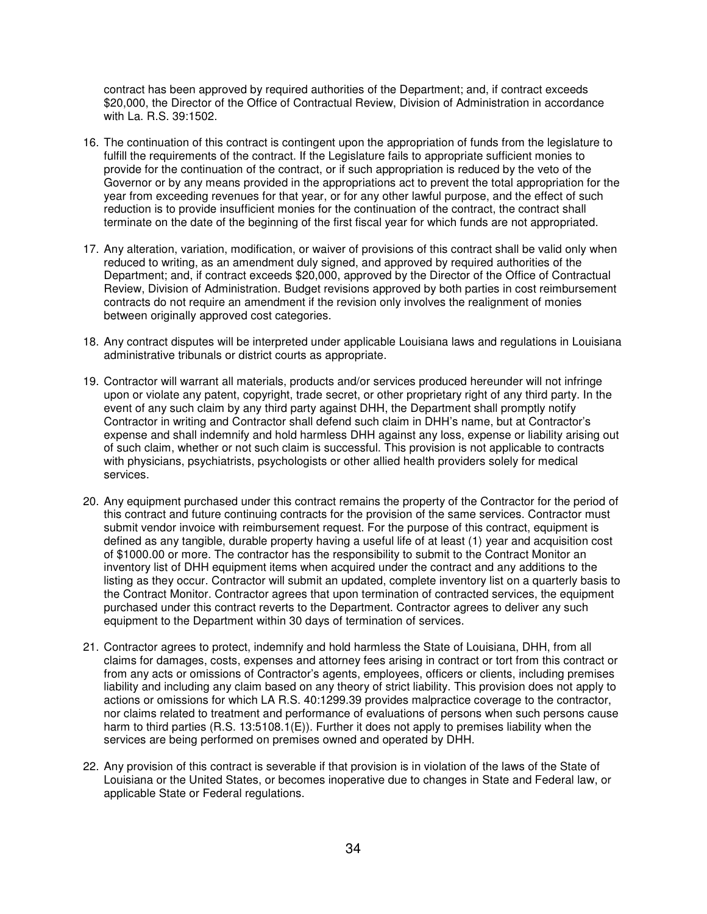contract has been approved by required authorities of the Department; and, if contract exceeds \$20,000, the Director of the Office of Contractual Review, Division of Administration in accordance with La. R.S. 39:1502.

- 16. The continuation of this contract is contingent upon the appropriation of funds from the legislature to fulfill the requirements of the contract. If the Legislature fails to appropriate sufficient monies to provide for the continuation of the contract, or if such appropriation is reduced by the veto of the Governor or by any means provided in the appropriations act to prevent the total appropriation for the year from exceeding revenues for that year, or for any other lawful purpose, and the effect of such reduction is to provide insufficient monies for the continuation of the contract, the contract shall terminate on the date of the beginning of the first fiscal year for which funds are not appropriated.
- 17. Any alteration, variation, modification, or waiver of provisions of this contract shall be valid only when reduced to writing, as an amendment duly signed, and approved by required authorities of the Department; and, if contract exceeds \$20,000, approved by the Director of the Office of Contractual Review, Division of Administration. Budget revisions approved by both parties in cost reimbursement contracts do not require an amendment if the revision only involves the realignment of monies between originally approved cost categories.
- 18. Any contract disputes will be interpreted under applicable Louisiana laws and regulations in Louisiana administrative tribunals or district courts as appropriate.
- 19. Contractor will warrant all materials, products and/or services produced hereunder will not infringe upon or violate any patent, copyright, trade secret, or other proprietary right of any third party. In the event of any such claim by any third party against DHH, the Department shall promptly notify Contractor in writing and Contractor shall defend such claim in DHH's name, but at Contractor's expense and shall indemnify and hold harmless DHH against any loss, expense or liability arising out of such claim, whether or not such claim is successful. This provision is not applicable to contracts with physicians, psychiatrists, psychologists or other allied health providers solely for medical services.
- 20. Any equipment purchased under this contract remains the property of the Contractor for the period of this contract and future continuing contracts for the provision of the same services. Contractor must submit vendor invoice with reimbursement request. For the purpose of this contract, equipment is defined as any tangible, durable property having a useful life of at least (1) year and acquisition cost of \$1000.00 or more. The contractor has the responsibility to submit to the Contract Monitor an inventory list of DHH equipment items when acquired under the contract and any additions to the listing as they occur. Contractor will submit an updated, complete inventory list on a quarterly basis to the Contract Monitor. Contractor agrees that upon termination of contracted services, the equipment purchased under this contract reverts to the Department. Contractor agrees to deliver any such equipment to the Department within 30 days of termination of services.
- 21. Contractor agrees to protect, indemnify and hold harmless the State of Louisiana, DHH, from all claims for damages, costs, expenses and attorney fees arising in contract or tort from this contract or from any acts or omissions of Contractor's agents, employees, officers or clients, including premises liability and including any claim based on any theory of strict liability. This provision does not apply to actions or omissions for which LA R.S. 40:1299.39 provides malpractice coverage to the contractor, nor claims related to treatment and performance of evaluations of persons when such persons cause harm to third parties (R.S. 13:5108.1(E)). Further it does not apply to premises liability when the services are being performed on premises owned and operated by DHH.
- 22. Any provision of this contract is severable if that provision is in violation of the laws of the State of Louisiana or the United States, or becomes inoperative due to changes in State and Federal law, or applicable State or Federal regulations.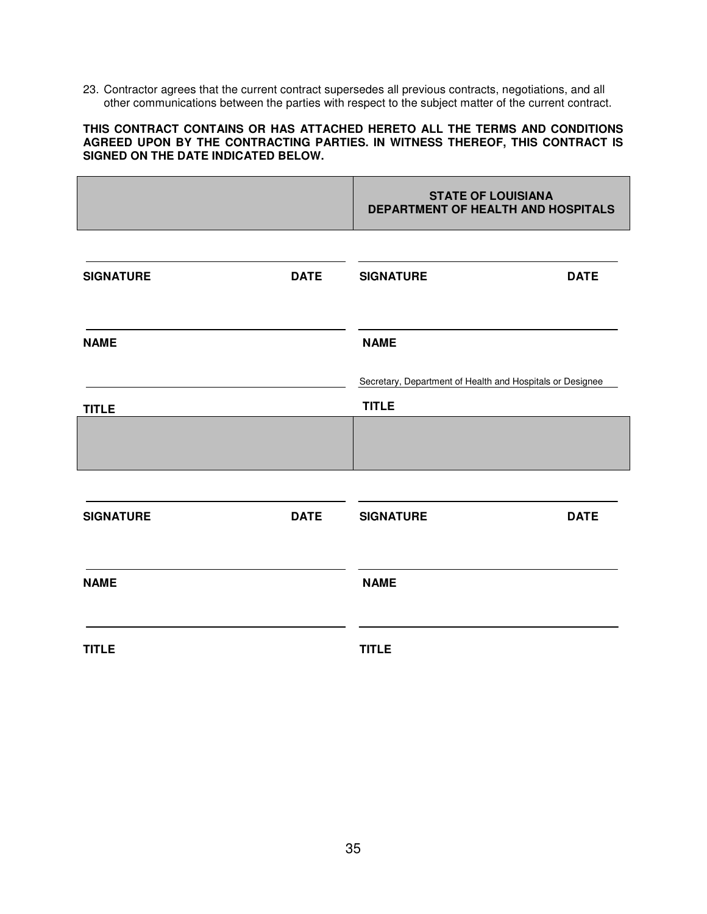23. Contractor agrees that the current contract supersedes all previous contracts, negotiations, and all other communications between the parties with respect to the subject matter of the current contract.

#### **THIS CONTRACT CONTAINS OR HAS ATTACHED HERETO ALL THE TERMS AND CONDITIONS AGREED UPON BY THE CONTRACTING PARTIES. IN WITNESS THEREOF, THIS CONTRACT IS SIGNED ON THE DATE INDICATED BELOW.**

|                  |             | <b>STATE OF LOUISIANA</b><br>DEPARTMENT OF HEALTH AND HOSPITALS           |             |
|------------------|-------------|---------------------------------------------------------------------------|-------------|
| <b>SIGNATURE</b> | <b>DATE</b> | <b>SIGNATURE</b>                                                          | <b>DATE</b> |
| <b>NAME</b>      |             | <b>NAME</b>                                                               |             |
| <b>TITLE</b>     |             | Secretary, Department of Health and Hospitals or Designee<br><b>TITLE</b> |             |
|                  |             |                                                                           |             |
| <b>SIGNATURE</b> | <b>DATE</b> | <b>SIGNATURE</b>                                                          | <b>DATE</b> |
| <b>NAME</b>      |             | <b>NAME</b>                                                               |             |
| <b>TITLE</b>     |             | <b>TITLE</b>                                                              |             |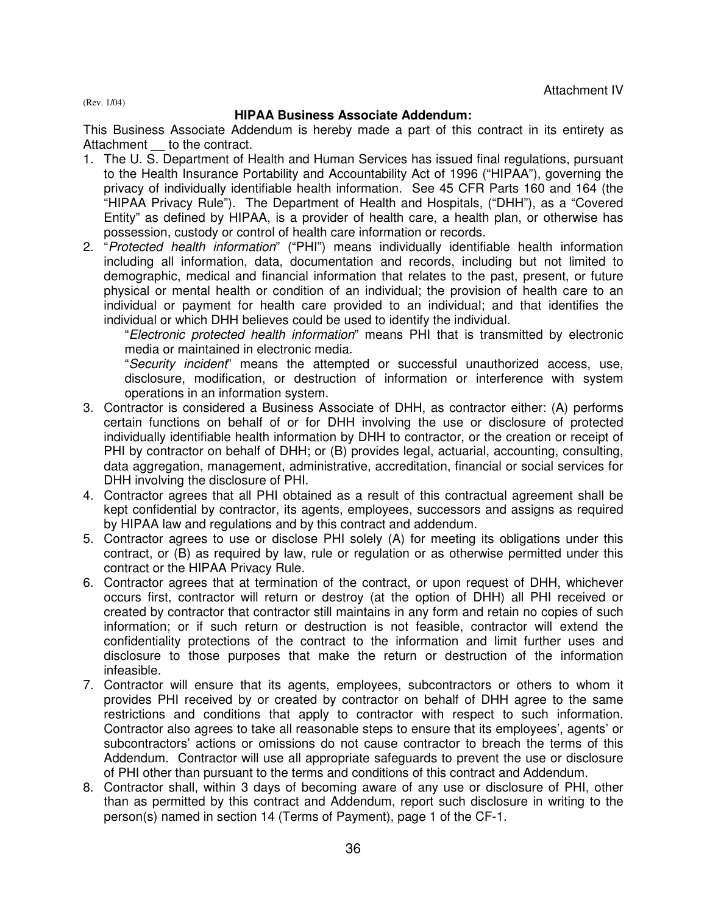(Rev. 1/04)

# **HIPAA Business Associate Addendum:**

This Business Associate Addendum is hereby made a part of this contract in its entirety as Attachment to the contract.

- 1. The U. S. Department of Health and Human Services has issued final regulations, pursuant to the Health Insurance Portability and Accountability Act of 1996 ("HIPAA"), governing the privacy of individually identifiable health information. See 45 CFR Parts 160 and 164 (the "HIPAA Privacy Rule"). The Department of Health and Hospitals, ("DHH"), as a "Covered Entity" as defined by HIPAA, is a provider of health care, a health plan, or otherwise has possession, custody or control of health care information or records.
- 2. "Protected health information" ("PHI") means individually identifiable health information including all information, data, documentation and records, including but not limited to demographic, medical and financial information that relates to the past, present, or future physical or mental health or condition of an individual; the provision of health care to an individual or payment for health care provided to an individual; and that identifies the individual or which DHH believes could be used to identify the individual.

"Electronic protected health information" means PHI that is transmitted by electronic media or maintained in electronic media.

"Security incident" means the attempted or successful unauthorized access, use, disclosure, modification, or destruction of information or interference with system operations in an information system.

- 3. Contractor is considered a Business Associate of DHH, as contractor either: (A) performs certain functions on behalf of or for DHH involving the use or disclosure of protected individually identifiable health information by DHH to contractor, or the creation or receipt of PHI by contractor on behalf of DHH; or (B) provides legal, actuarial, accounting, consulting, data aggregation, management, administrative, accreditation, financial or social services for DHH involving the disclosure of PHI.
- 4. Contractor agrees that all PHI obtained as a result of this contractual agreement shall be kept confidential by contractor, its agents, employees, successors and assigns as required by HIPAA law and regulations and by this contract and addendum.
- 5. Contractor agrees to use or disclose PHI solely (A) for meeting its obligations under this contract, or (B) as required by law, rule or regulation or as otherwise permitted under this contract or the HIPAA Privacy Rule.
- 6. Contractor agrees that at termination of the contract, or upon request of DHH, whichever occurs first, contractor will return or destroy (at the option of DHH) all PHI received or created by contractor that contractor still maintains in any form and retain no copies of such information; or if such return or destruction is not feasible, contractor will extend the confidentiality protections of the contract to the information and limit further uses and disclosure to those purposes that make the return or destruction of the information infeasible.
- 7. Contractor will ensure that its agents, employees, subcontractors or others to whom it provides PHI received by or created by contractor on behalf of DHH agree to the same restrictions and conditions that apply to contractor with respect to such information. Contractor also agrees to take all reasonable steps to ensure that its employees', agents' or subcontractors' actions or omissions do not cause contractor to breach the terms of this Addendum. Contractor will use all appropriate safeguards to prevent the use or disclosure of PHI other than pursuant to the terms and conditions of this contract and Addendum.
- 8. Contractor shall, within 3 days of becoming aware of any use or disclosure of PHI, other than as permitted by this contract and Addendum, report such disclosure in writing to the person(s) named in section 14 (Terms of Payment), page 1 of the CF-1.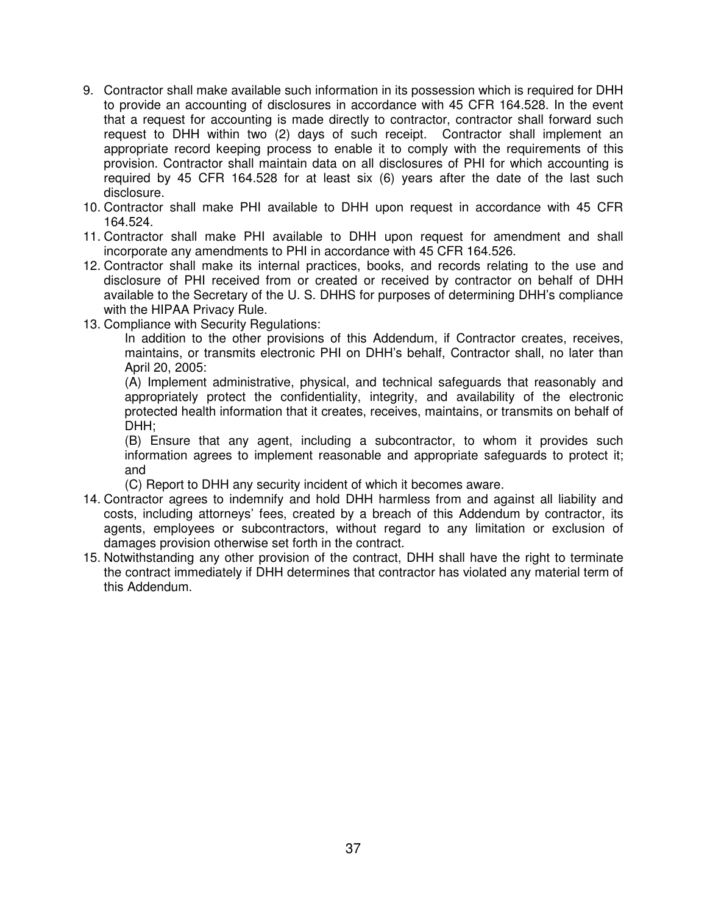- 9. Contractor shall make available such information in its possession which is required for DHH to provide an accounting of disclosures in accordance with 45 CFR 164.528. In the event that a request for accounting is made directly to contractor, contractor shall forward such request to DHH within two (2) days of such receipt. Contractor shall implement an appropriate record keeping process to enable it to comply with the requirements of this provision. Contractor shall maintain data on all disclosures of PHI for which accounting is required by 45 CFR 164.528 for at least six (6) years after the date of the last such disclosure.
- 10. Contractor shall make PHI available to DHH upon request in accordance with 45 CFR 164.524.
- 11. Contractor shall make PHI available to DHH upon request for amendment and shall incorporate any amendments to PHI in accordance with 45 CFR 164.526.
- 12. Contractor shall make its internal practices, books, and records relating to the use and disclosure of PHI received from or created or received by contractor on behalf of DHH available to the Secretary of the U. S. DHHS for purposes of determining DHH's compliance with the HIPAA Privacy Rule.
- 13. Compliance with Security Regulations:

In addition to the other provisions of this Addendum, if Contractor creates, receives, maintains, or transmits electronic PHI on DHH's behalf, Contractor shall, no later than April 20, 2005:

(A) Implement administrative, physical, and technical safeguards that reasonably and appropriately protect the confidentiality, integrity, and availability of the electronic protected health information that it creates, receives, maintains, or transmits on behalf of DHH;

(B) Ensure that any agent, including a subcontractor, to whom it provides such information agrees to implement reasonable and appropriate safeguards to protect it; and

(C) Report to DHH any security incident of which it becomes aware.

- 14. Contractor agrees to indemnify and hold DHH harmless from and against all liability and costs, including attorneys' fees, created by a breach of this Addendum by contractor, its agents, employees or subcontractors, without regard to any limitation or exclusion of damages provision otherwise set forth in the contract.
- 15. Notwithstanding any other provision of the contract, DHH shall have the right to terminate the contract immediately if DHH determines that contractor has violated any material term of this Addendum.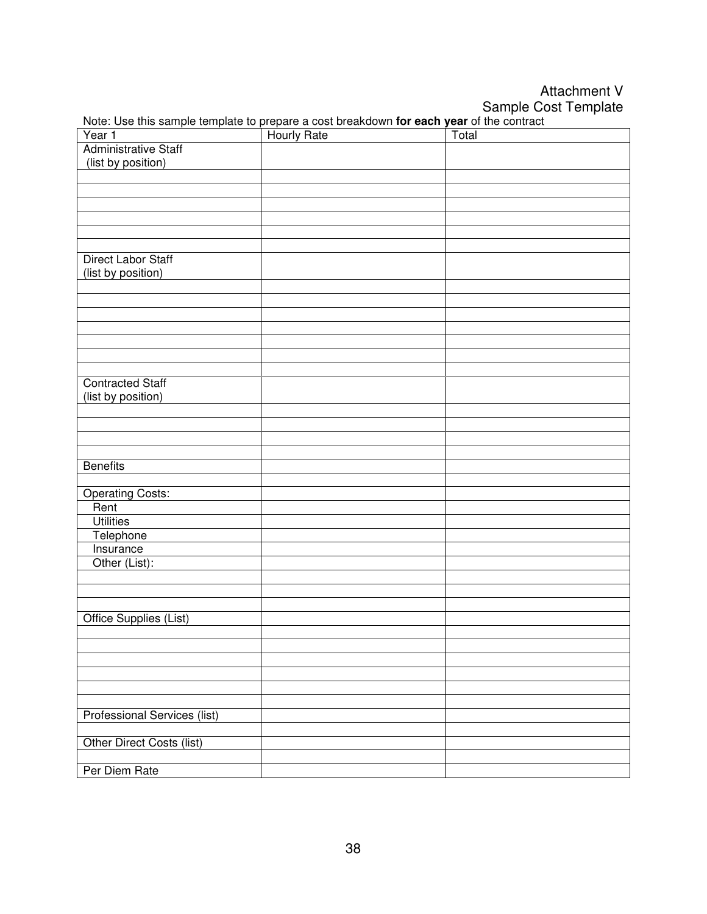Attachment V Sample Cost Template

| <b>Administrative Staff</b><br>(list by position)<br><b>Direct Labor Staff</b><br>(list by position)<br><b>Contracted Staff</b><br>(list by position)<br><b>Benefits</b><br><b>Operating Costs:</b><br>Rent<br><b>Utilities</b><br>Telephone<br>Insurance<br>Other (List):<br>Office Supplies (List)<br><b>Professional Services (list)</b><br>Other Direct Costs (list)<br>Per Diem Rate | Year 1 Hourly Rate Total |  |
|-------------------------------------------------------------------------------------------------------------------------------------------------------------------------------------------------------------------------------------------------------------------------------------------------------------------------------------------------------------------------------------------|--------------------------|--|
|                                                                                                                                                                                                                                                                                                                                                                                           |                          |  |
|                                                                                                                                                                                                                                                                                                                                                                                           |                          |  |
|                                                                                                                                                                                                                                                                                                                                                                                           |                          |  |
|                                                                                                                                                                                                                                                                                                                                                                                           |                          |  |
|                                                                                                                                                                                                                                                                                                                                                                                           |                          |  |
|                                                                                                                                                                                                                                                                                                                                                                                           |                          |  |
|                                                                                                                                                                                                                                                                                                                                                                                           |                          |  |
|                                                                                                                                                                                                                                                                                                                                                                                           |                          |  |
|                                                                                                                                                                                                                                                                                                                                                                                           |                          |  |
|                                                                                                                                                                                                                                                                                                                                                                                           |                          |  |
|                                                                                                                                                                                                                                                                                                                                                                                           |                          |  |
|                                                                                                                                                                                                                                                                                                                                                                                           |                          |  |
|                                                                                                                                                                                                                                                                                                                                                                                           |                          |  |
|                                                                                                                                                                                                                                                                                                                                                                                           |                          |  |
|                                                                                                                                                                                                                                                                                                                                                                                           |                          |  |
|                                                                                                                                                                                                                                                                                                                                                                                           |                          |  |
|                                                                                                                                                                                                                                                                                                                                                                                           |                          |  |
|                                                                                                                                                                                                                                                                                                                                                                                           |                          |  |
|                                                                                                                                                                                                                                                                                                                                                                                           |                          |  |
|                                                                                                                                                                                                                                                                                                                                                                                           |                          |  |
|                                                                                                                                                                                                                                                                                                                                                                                           |                          |  |
|                                                                                                                                                                                                                                                                                                                                                                                           |                          |  |
|                                                                                                                                                                                                                                                                                                                                                                                           |                          |  |
|                                                                                                                                                                                                                                                                                                                                                                                           |                          |  |
|                                                                                                                                                                                                                                                                                                                                                                                           |                          |  |
|                                                                                                                                                                                                                                                                                                                                                                                           |                          |  |
|                                                                                                                                                                                                                                                                                                                                                                                           |                          |  |
|                                                                                                                                                                                                                                                                                                                                                                                           |                          |  |
|                                                                                                                                                                                                                                                                                                                                                                                           |                          |  |
|                                                                                                                                                                                                                                                                                                                                                                                           |                          |  |
|                                                                                                                                                                                                                                                                                                                                                                                           |                          |  |
|                                                                                                                                                                                                                                                                                                                                                                                           |                          |  |
|                                                                                                                                                                                                                                                                                                                                                                                           |                          |  |
|                                                                                                                                                                                                                                                                                                                                                                                           |                          |  |
|                                                                                                                                                                                                                                                                                                                                                                                           |                          |  |
|                                                                                                                                                                                                                                                                                                                                                                                           |                          |  |
|                                                                                                                                                                                                                                                                                                                                                                                           |                          |  |
|                                                                                                                                                                                                                                                                                                                                                                                           |                          |  |
|                                                                                                                                                                                                                                                                                                                                                                                           |                          |  |
|                                                                                                                                                                                                                                                                                                                                                                                           |                          |  |
|                                                                                                                                                                                                                                                                                                                                                                                           |                          |  |
|                                                                                                                                                                                                                                                                                                                                                                                           |                          |  |
|                                                                                                                                                                                                                                                                                                                                                                                           |                          |  |
|                                                                                                                                                                                                                                                                                                                                                                                           |                          |  |
|                                                                                                                                                                                                                                                                                                                                                                                           |                          |  |
|                                                                                                                                                                                                                                                                                                                                                                                           |                          |  |

Note: Use this sample template to prepare a cost breakdown **for each year** of the contract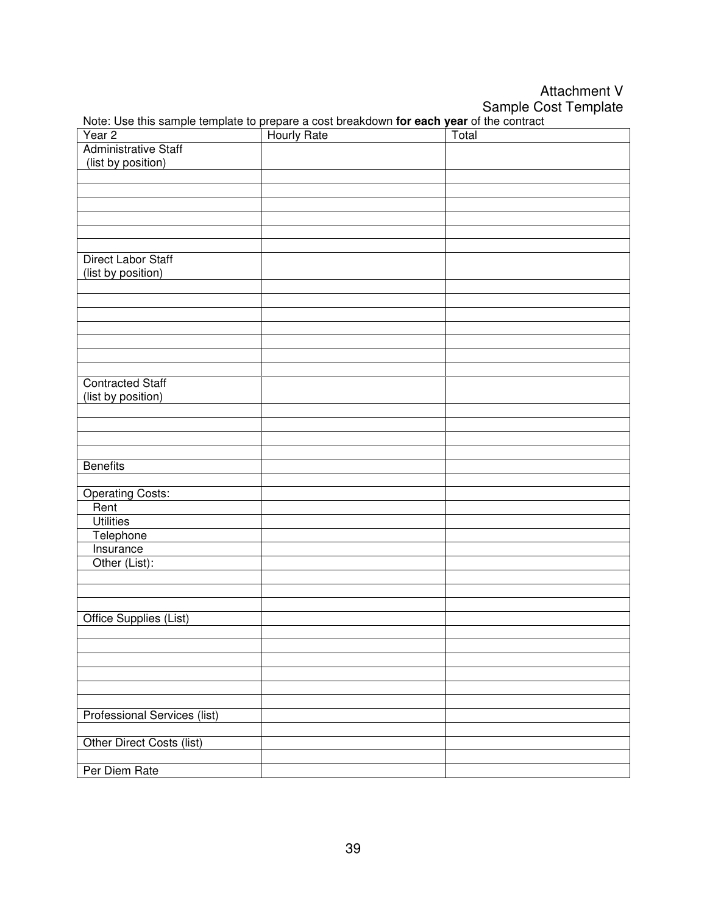Attachment V Sample Cost Template

|                                     | Year 2 Hourly Rate Total |  |
|-------------------------------------|--------------------------|--|
| <b>Administrative Staff</b>         |                          |  |
| (list by position)                  |                          |  |
|                                     |                          |  |
|                                     |                          |  |
|                                     |                          |  |
|                                     |                          |  |
|                                     |                          |  |
|                                     |                          |  |
| <b>Direct Labor Staff</b>           |                          |  |
| (list by position)                  |                          |  |
|                                     |                          |  |
|                                     |                          |  |
|                                     |                          |  |
|                                     |                          |  |
|                                     |                          |  |
|                                     |                          |  |
|                                     |                          |  |
| <b>Contracted Staff</b>             |                          |  |
| (list by position)                  |                          |  |
|                                     |                          |  |
|                                     |                          |  |
|                                     |                          |  |
|                                     |                          |  |
| <b>Benefits</b>                     |                          |  |
|                                     |                          |  |
| <b>Operating Costs:</b>             |                          |  |
| Rent                                |                          |  |
| <b>Utilities</b>                    |                          |  |
| Telephone                           |                          |  |
| Insurance                           |                          |  |
| Other (List):                       |                          |  |
|                                     |                          |  |
|                                     |                          |  |
|                                     |                          |  |
| Office Supplies (List)              |                          |  |
|                                     |                          |  |
|                                     |                          |  |
|                                     |                          |  |
|                                     |                          |  |
|                                     |                          |  |
|                                     |                          |  |
| <b>Professional Services (list)</b> |                          |  |
|                                     |                          |  |
| Other Direct Costs (list)           |                          |  |
|                                     |                          |  |
| Per Diem Rate                       |                          |  |

Note: Use this sample template to prepare a cost breakdown **for each year** of the contract